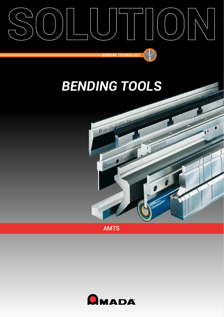



AMTS

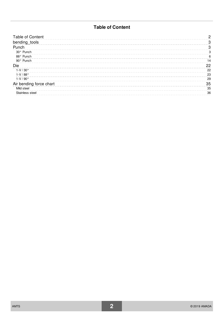## **Table of Content**

| <b>Table of Content</b> | 2  |
|-------------------------|----|
| bending_tools           | 3  |
| Punch                   | 3  |
| 30° Punch               | 3  |
| 88° Punch               | 6  |
| 90° Punch               | 14 |
| Die                     | 22 |
| $1-V/30^{\circ}$        | 22 |
| $1-V/88^\circ$          | 23 |
| $1-V/90^{\circ}$        | 29 |
| Air bending force chart | 35 |
| Mild steel              | 35 |
| Stainless steel         | 36 |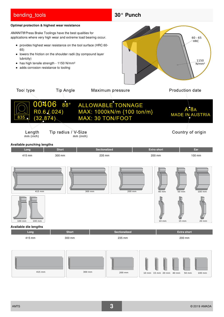# <span id="page-2-0"></span>**bending** tools **30° Punch Optimal protection & highest wear resistance** *AMANIT®* Press Brake Toolings have the best qualities for applications where very high wear and extreme load bearing occur. 60 - 65 **HRC** provides highest wear resistance on the tool surface (HRC 60- 65) • lowers the friction on the shoulder radii (by compound layer lubricity) 1150 • has high tensile strength - 1150 N/mm<sup>2</sup> N/mm² • adds corrosion resistance to tooling Tool type **Tip Angle** Maximum pressure **Production date**  $88^{\circ}$ ALLOWABLE TONNAGE 0406 MAX: 1000kN/m {100 ton/m} RΔ  $R0.6(0.024)$ **MADE IN AUSTRIA** MAX: 30 TON/FOOT  $(32.874)$ Tip radius / V-Size Length Country of origin mm (inch) mm (inch) **Available punching lengths Long Short Short Sectionalized Extra short Ear** 415 mm 300 mm 235 mm 200 mm 100 mm 415 mm | | 300 mm | | 200 mm | | 40 mm 200 mm 50 mm 100 mm 100 mm 100 mm 10 mm 15 mm 20 mm **Available die lengths Long Short Sectionalized Extra short** 415 mm 300 mm 235 mm 200 mm 415 mm 300 mm 200 mm 200 mm 15 mm 20 mm 50 mm 50 mm 100 mm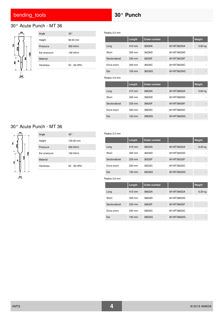# <span id="page-3-0"></span>30° Acute Punch - MT 36



| Angle           | $30^{\circ}$         |
|-----------------|----------------------|
| Height          | $90.00 \, \text{mm}$ |
| Pressure        | 500 kN/m             |
| Ear pressure    | 190 kN/m             |
| Material        |                      |
| <b>Hardness</b> | 52 - 56 HRC          |

Radius 0.2 mm

|               | Length           | Order number |             | Weight  |
|---------------|------------------|--------------|-------------|---------|
| Long          | 415 mm           | 36230A       | 6H MT36230A | 5.60 kg |
| Short         | 300 mm           | 36230D       | 6H MT36230D |         |
| Sectionalized | 235 mm           | 36230F       | 6H MT36230F |         |
| Extra short   | 200 mm           | 36230C       | 6H MT36230C |         |
| Ear           | $100 \text{ mm}$ | 36230G       | 6H MT36230G |         |
| Radius 0.6 mm |                  |              |             |         |
|               |                  |              |             |         |
|               | Length           | Order number |             | Weight  |
| Long          | 415 mm           | 36630A       | 6H MT36630A | 5.60 kg |
| Short         | 300 mm           | 36630D       | 6H MT36630D |         |
| Sectionalized | 235 mm           | 36630F       | 6H MT36630F |         |
| Extra short   | 200 mm           | 36630C       | 6H MT36630C |         |

## 30° Acute Punch - MT 36



| Angle        | $30^{\circ}$ |
|--------------|--------------|
| Height       | 120.00 mm    |
| Pressure     | 500 kN/m     |
| Ear pressure | 190 kN/m     |
| Material     |              |
| Hardness     | 52 - 56 HRC  |

### Radius 0.2 mm

|               | Length           | Order number |             | Weight  |
|---------------|------------------|--------------|-------------|---------|
| Long          | 415 mm           | 36232A       | 6H MT36232A | 6.20 kg |
| Short         | 300 mm           | 36232D       | 6H MT36232D |         |
| Sectionalized | 235 mm           | 36232F       | 6H MT36232F | -       |
| Extra short   | 200 mm           | 36232C       | 6H MT36232C | ۰       |
| Ear           | $100 \text{ mm}$ | 36232G       | 6H MT36232G |         |

<span id="page-3-2"></span><span id="page-3-1"></span>

|               | Length           | Order number |             | Weight  |
|---------------|------------------|--------------|-------------|---------|
| Long          | 415 mm           | 36632A       | 6H MT36632A | 6.20 kg |
| Short         | $300 \text{ mm}$ | 36632D       | 6H MT36632D |         |
| Sectionalized | 235 mm           | 36632F       | 6H MT36632F |         |
| Extra short   | $200 \text{ mm}$ | 36632C       | 6H MT36632C |         |
| Ear           | $100 \text{ mm}$ | 36632G       | 6H MT36632G |         |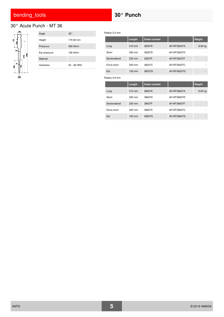# 30° Acute Punch - MT 36



| Angle        | $30^{\circ}$ |
|--------------|--------------|
| Height       | 170.00 mm    |
| Pressure     | 500 kN/m     |
| Ear pressure | 190 kN/m     |
| Material     |              |
| Hardness     | 52 - 56 HRC  |
|              |              |

|               | Length           | Order number |             | Weight  |
|---------------|------------------|--------------|-------------|---------|
| Long          | 415 mm           | 36237A       | 6H MT36237A | 8.00 kg |
| Short         | 300 mm           | 36237D       | 6H MT36237D |         |
| Sectionalized | 235 mm           | 36237F       | 6H MT36237F |         |
| Extra short   | 200 mm           | 36237C       | 6H MT36237C |         |
| Ear           | $100 \text{ mm}$ | 36237G       | 6H MT36237G |         |
|               |                  |              |             |         |
| Radius 0.6 mm |                  |              |             |         |
|               | Length           | Order number |             | Weight  |
| Long          | 415 mm           | 36637A       | 6H MT36637A | 8.00 kg |
| Short         | 300 mm           | 36637D       | 6H MT36637D |         |
| Sectionalized | 235 mm           | 36637F       | 6H MT36637F |         |
| Extra short   | $200 \text{ mm}$ | 36637C       | 6H MT36637C |         |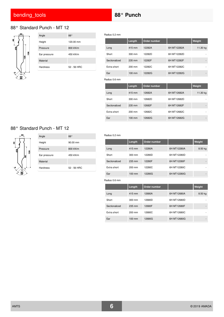# 88° Standard Punch - MT 12



|  | Angle        | 88°         |
|--|--------------|-------------|
|  | Height       | 120.00 mm   |
|  | Pressure     | 800 kN/m    |
|  | Ear pressure | 450 kN/m    |
|  | Material     |             |
|  | Hardness     | 52 - 56 HRC |

Radius 0.2 mm

|               | Length           | Order number |             | Weight   |
|---------------|------------------|--------------|-------------|----------|
| Long          | 415 mm           | 12282A       | 6H MT12282A | 11.30 kg |
| Short         | $300 \text{ mm}$ | 12282D       | 6H MT12282D |          |
| Sectionalized | 235 mm           | 12282F       | 6H MT12282F | -        |
| Extra short   | $200 \text{ mm}$ | 12282C       | 6H MT12282C |          |
| Ear           | 100 mm           | 12282G       | 6H MT12282G |          |

Radius 0.6 mm

|               | Length           | Order number |             | Weight   |
|---------------|------------------|--------------|-------------|----------|
| Long          | 415 mm           | 12682A       | 6H MT12682A | 11.30 kg |
| Short         | 300 mm           | 12682D       | 6H MT12682D |          |
| Sectionalized | 235 mm           | 12682F       | 6H MT12682F |          |
| Extra short   | 200 mm           | 12682C       | 6H MT12682C |          |
| Ear           | $100 \text{ mm}$ | 12682G       | 6H MT12682G |          |

## 88° Standard Punch - MT 12



| Angle           | 88°                  |
|-----------------|----------------------|
| Height          | $90.00 \, \text{mm}$ |
| Pressure        | 800 kN/m             |
| Ear pressure    | 450 kN/m             |
| Material        |                      |
| <b>Hardness</b> | 52 - 56 HRC          |
|                 |                      |

#### Radius 0.2 mm

|               | Length           | Order number |             | Weight  |
|---------------|------------------|--------------|-------------|---------|
| Long          | 415 mm           | 12280A       | 6H MT12280A | 8.50 kg |
| Short         | $300 \text{ mm}$ | 12280D       | 6H MT12280D |         |
| Sectionalized | 235 mm           | 12280F       | 6H MT12280F | -       |
| Extra short   | $200 \text{ mm}$ | 12280C       | 6H MT12280C | ۰       |
| Ear           | 100 mm           | 12280G       | 6H MT12280G |         |

|               | Length   | Order number |             | Weight  |
|---------------|----------|--------------|-------------|---------|
| Long          | 415 mm   | 12680A       | 6H MT12680A | 8.50 kg |
| Short         | 300 mm   | 12680D       | 6H MT12680D | ۰       |
| Sectionalized | 235 mm   | 12680F       | 6H MT12680F | ۰       |
| Extra short   | 200 mm   | 12680C       | 6H MT12680C | ۰       |
| Ear           | $100$ mm | 12680G       | 6H MT12680G | ۰       |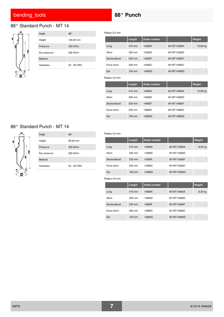## <span id="page-6-0"></span>88° Standard Punch - MT 14



| Angle           | $88^{\circ}$ |
|-----------------|--------------|
| Height          | 120.00 mm    |
| Pressure        | 200 kN/m     |
| Ear pressure    | 200 kN/m     |
| Material        |              |
| <b>Hardness</b> | 52 - 56 HRC  |

Radius 0.2 mm

|               | Length           | Order number |             | Weight   |
|---------------|------------------|--------------|-------------|----------|
| Long          | 415 mm           | 14282A       | 6H MT14282A | 10.90 kg |
| Short         | 300 mm           | 14282D       | 6H MT14282D |          |
| Sectionalized | 235 mm           | 14282F       | 6H MT14282F |          |
| Extra short   | 200 mm           | 14282C       | 6H MT14282C |          |
| Ear           | $100 \text{ mm}$ | 14282G       | 6H MT14282G |          |
| Radius 0.6 mm |                  |              |             |          |
|               | Length           | Order number |             | Weight   |
| Long          | 415 mm           | 14682A       | 6H MT14682A | 10.90 kg |
| Short         | 300 mm           | 14682D       | 6H MT14682D |          |
| Sectionalized | 235 mm           | 14682F       | 6H MT14682F |          |

Extra short 200 mm 14682C 6H MT14682C Ear 100 mm 14682G 6H MT14682G

### 88° Standard Punch - MT 14



| Angle           | 88°         |
|-----------------|-------------|
| Height          | 90.00 mm    |
| Pressure        | 200 kN/m    |
| Ear pressure    | 200 kN/m    |
| Material        |             |
| <b>Hardness</b> | 52 - 56 HRC |

#### Radius 0.2 mm

|               | Length           | Order number |             | Weight  |
|---------------|------------------|--------------|-------------|---------|
| Long          | 415 mm           | 14280A       | 6H MT14280A | 8.20 kg |
| Short         | 300 mm           | 14280D       | 6H MT14280D |         |
| Sectionalized | 235 mm           | 14280F       | 6H MT14280F | ۰       |
| Extra short   | 200 mm           | 14280C       | 6H MT14280C | ۰       |
| Ear           | $100 \text{ mm}$ | 14280G       | 6H MT14280G | -       |

|               | Length           | Order number |             | Weight  |
|---------------|------------------|--------------|-------------|---------|
| Long          | 415 mm           | 14680A       | 6H MT14680A | 8.20 kg |
| Short         | $300 \text{ mm}$ | 14680D       | 6H MT14680D |         |
| Sectionalized | 235 mm           | 14680F       | 6H MT14680F |         |
| Extra short   | $200 \text{ mm}$ | 14680C       | 6H MT14680C |         |
| Ear           | $100 \text{ mm}$ | 14680G       | 6H MT14680G |         |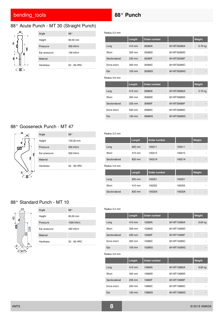# 88° Acute Punch - MT 30 (Straight Punch)



| Angle           | 88°                  |
|-----------------|----------------------|
| Height          | $90.00 \, \text{mm}$ |
| Pressure        | 500 kN/m             |
| Ear pressure    | 190 kN/m             |
| Material        |                      |
| <b>Hardness</b> | 52 - 56 HRC          |

Radius 0.2 mm

|               | Length           | Order number |             | Weight  |
|---------------|------------------|--------------|-------------|---------|
| Long          | 415 mm           | 30280A       | 6H MT30280A | 5.70 kg |
| Short         | $300 \text{ mm}$ | 30280D       | 6H MT30280D |         |
| Sectionalized | 235 mm           | 30280F       | 6H MT30280F |         |
| Extra short   | 200 mm           | 30280C       | 6H MT30280C |         |
| Ear           | 100 mm           | 30280G       | 6H MT30280G |         |
|               |                  |              |             |         |
| Radius 0.6 mm |                  |              |             |         |
|               | Length           | Order number |             | Weight  |
| Long          | 415 mm           | 30680A       | 6H MT30680A | 5.70 kg |
| Short         | $300 \text{ mm}$ | 30680D       | 6H MT30680D |         |
| Sectionalized | 235 mm           | 30680F       | 6H MT30680F |         |
| Extra short   | 200 mm           | 30680C       | 6H MT30680C |         |

## 88° Gooseneck Punch - MT 47



| Angle        | 88°         |
|--------------|-------------|
| Height       | 120.00 mm   |
| Pressure     | 500 kN/m    |
| Ear pressure | 500 kN/m    |
| Material     |             |
| Hardness     | 52 - 56 HRC |
|              |             |

#### Radius 0.2 mm

|               | Length | Order number |        | Weight |
|---------------|--------|--------------|--------|--------|
| Long          | 835 mm | 1A5211       | 1A5211 | -      |
| Short         | 415 mm | 1A5212       | 1A5212 | ۰      |
| Sectionalized | 835 mm | 1A521A       | 1A521A | -      |

Radius 0.6 mm

|               | Length | Order number |        | Weight |
|---------------|--------|--------------|--------|--------|
| Long          | 835 mm | 1A5251       | 1A5251 | -      |
| Short         | 415 mm | 1A5252       | 1A5252 | ۰      |
| Sectionalized | 835 mm | 1A525A       | 1A525A | -      |

## 88° Standard Punch - MT 10



| Angle           | 88°                  |
|-----------------|----------------------|
| Height          | $90.00 \, \text{mm}$ |
| Pressure        | 1000 kN/m            |
| Ear pressure    | 450 kN/m             |
| Material        |                      |
| <b>Hardness</b> | 52 - 56 HRC          |
|                 |                      |

### Radius 0.2 mm

|               | Length           | Order number |             | Weight  |
|---------------|------------------|--------------|-------------|---------|
| Long          | 415 mm           | 10280A       | 6H MT10280A | 8.60 kg |
| Short         | $300 \text{ mm}$ | 10280D       | 6H MT10280D |         |
| Sectionalized | 235 mm           | 10280F       | 6H MT10280F |         |
| Extra short   | $200 \text{ mm}$ | 10280C       | 6H MT10280C |         |
| Ear           | $100 \text{ mm}$ | 10280G       | 6H MT10280G | -       |

|               | Length           | Order number |             | Weight  |
|---------------|------------------|--------------|-------------|---------|
| Long          | 415 mm           | 10680A       | 6H MT10680A | 8.60 kg |
| Short         | 300 mm           | 10680D       | 6H MT10680D |         |
| Sectionalized | 235 mm           | 10680F       | 6H MT10680F |         |
| Extra short   | $200$ mm         | 10680C       | 6H MT10680C |         |
| Ear           | $100 \text{ mm}$ | 10680G       | 6H MT10680G |         |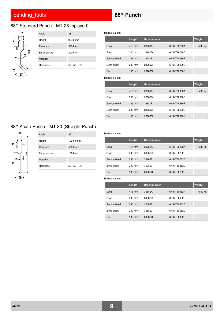## 88° Standard Punch - MT 28 (splayed)



| Angle           | 88°                  |
|-----------------|----------------------|
| Height          | $90.00 \, \text{mm}$ |
| Pressure        | 300 kN/m             |
| Ear pressure    | 300 kN/m             |
| Material        |                      |
| <b>Hardness</b> | 52 - 56 HRC          |

Radius 0.2 mm

|               | Length           | Order number |             | Weight  |
|---------------|------------------|--------------|-------------|---------|
| Long          | 415 mm           | 28280A       | 6H MT28280A | 5.90 kg |
| Short         | 300 mm           | 28280D       | 6H MT28280D |         |
| Sectionalized | 235 mm           | 28280F       | 6H MT28280F |         |
| Extra short   | $200 \text{ mm}$ | 28280C       | 6H MT28280C |         |
| Ear           | $100 \text{ mm}$ | 28280G       | 6H MT28280G |         |
| Radius 0.6 mm |                  |              |             |         |
|               | Length           | Order number |             | Weight  |
| Long          | 415 mm           | 28680A       | 6H MT28680A | 5.90 kg |
| Short         | $300 \text{ mm}$ | 28680D       | 6H MT28680D |         |
| Sectionalized | 235 mm           | 28680F       | 6H MT28680F |         |
| Extra short   | $200 \text{ mm}$ | 28680C       | 6H MT28680C |         |
| Ear           | 100 mm           | 28680G       | 6H MT28680G |         |

# 88° Acute Punch - MT 30 (Straight Punch)



| Angle           | 88°         |
|-----------------|-------------|
| Height          | 120.00 mm   |
| Pressure        | 500 kN/m    |
| Ear pressure    | 190 kN/m    |
| Material        |             |
| <b>Hardness</b> | 52 - 56 HRC |
|                 |             |

### Radius 0.2 mm

|               | <b>Length</b>    | Order number |             | Weight  |
|---------------|------------------|--------------|-------------|---------|
| Long          | 415 mm           | 30282A       | 6H MT30282A | 6.30 kg |
| Short         | 300 mm           | 30282D       | 6H MT30282D | ۰       |
| Sectionalized | 235 mm           | 30282F       | 6H MT30282F | -       |
| Extra short   | 200 mm           | 30282C       | 6H MT30282C |         |
| Ear           | $100 \text{ mm}$ | 30282G       | 6H MT30282G |         |

|               | Length           | Order number |             | Weight  |
|---------------|------------------|--------------|-------------|---------|
| Long          | 415 mm           | 30682A       | 6H MT30682A | 6.30 kg |
| Short         | 300 mm           | 30682D       | 6H MT30682D |         |
| Sectionalized | 235 mm           | 30682F       | 6H MT30682F |         |
| Extra short   | $200$ mm         | 30682C       | 6H MT30682C |         |
| Ear           | $100 \text{ mm}$ | 30682G       | 6H MT30682G |         |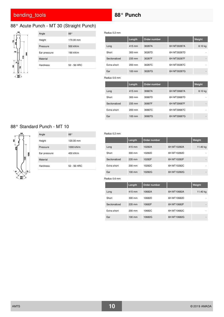# 88° Acute Punch - MT 30 (Straight Punch)



| Angle           | 88°         |
|-----------------|-------------|
| Height          | 170.00 mm   |
| Pressure        | 500 kN/m    |
| Ear pressure    | 190 kN/m    |
| Material        |             |
| <b>Hardness</b> | 52 - 56 HRC |
|                 |             |

Radius 0.2 mm

|               | Length           | Order number |             | Weight  |
|---------------|------------------|--------------|-------------|---------|
| Long          | 415 mm           | 30287A       | 6H MT30287A | 8.10 kg |
| Short         | $300 \text{ mm}$ | 30287D       | 6H MT30287D |         |
| Sectionalized | 235 mm           | 30287F       | 6H MT30287F |         |
| Extra short   | $200 \text{ mm}$ | 30287C       | 6H MT30287C |         |
| Ear           | $100 \text{ mm}$ | 30287G       | 6H MT30287G |         |
| Radius 0.6 mm |                  |              |             |         |
|               | Length           | Order number |             | Weight  |
| Long          | 415 mm           | 30687A       | 6H MT30687A | 8.10 kg |
| Short         | $300 \text{ mm}$ | 30687D       | 6H MT30687D |         |
| Sectionalized | 235 mm           | 30687F       | 6H MT30687F |         |
|               |                  |              |             |         |
| Extra short   | $200 \text{ mm}$ | 30687C       | 6H MT30687C |         |

## 88° Standard Punch - MT 10



| Angle           | 88°         |
|-----------------|-------------|
| Height          | 120.00 mm   |
| Pressure        | 1000 kN/m   |
| Ear pressure    | 450 kN/m    |
| Material        |             |
| <b>Hardness</b> | 52 - 56 HRC |

#### Radius 0.2 mm

|               | Length           | Order number |             | Weight   |
|---------------|------------------|--------------|-------------|----------|
| Long          | 415 mm           | 10282A       | 6H MT10282A | 11.40 kg |
| Short         | 300 mm           | 10282D       | 6H MT10282D | ۰        |
| Sectionalized | 235 mm           | 10282F       | 6H MT10282F |          |
| Extra short   | $200$ mm         | 10282C       | 6H MT10282C |          |
| Ear           | $100 \text{ mm}$ | 10282G       | 6H MT10282G |          |

|               | Length           | Order number |             | Weight   |
|---------------|------------------|--------------|-------------|----------|
| Long          | 415 mm           | 10682A       | 6H MT10682A | 11.40 kg |
| Short         | 300 mm           | 10682D       | 6H MT10682D |          |
| Sectionalized | 235 mm           | 10682F       | 6H MT10682F |          |
| Extra short   | 200 mm           | 10682C       | 6H MT10682C |          |
| Ear           | $100 \text{ mm}$ | 10682G       | 6H MT10682G |          |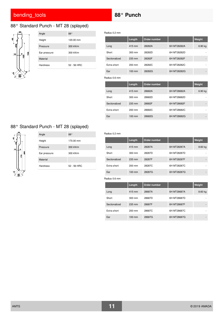## 88° Standard Punch - MT 28 (splayed)



| Angle           | 88°         |
|-----------------|-------------|
| Height          | 120.00 mm   |
| Pressure        | 300 kN/m    |
| Ear pressure    | 300 kN/m    |
| Material        |             |
| <b>Hardness</b> | 52 - 56 HRC |

Radius 0.2 mm

|               | Length           | Order number |             | Weight  |
|---------------|------------------|--------------|-------------|---------|
| Long          | 415 mm           | 28282A       | 6H MT28282A | 6.90 kg |
| Short         | $300 \text{ mm}$ | 28282D       | 6H MT28282D |         |
| Sectionalized | 235 mm           | 28282F       | 6H MT28282F |         |
| Extra short   | 200 mm           | 28282C       | 6H MT28282C |         |
| Ear           | $100 \text{ mm}$ | 28282G       | 6H MT28282G |         |
| Radius 0.6 mm |                  |              |             |         |
|               | Length           | Order number |             | Weight  |
| Long          | 415 mm           | 28682A       | 6H MT28682A | 6.90 kg |
| Short         | $300 \text{ mm}$ | 28682D       | 6H MT28682D |         |
| Sectionalized | 235 mm           | 28682F       | 6H MT28682F |         |
| Extra short   | $200 \text{ mm}$ | 28682C       | 6H MT28682C |         |
| Ear           | $100 \text{ mm}$ | 28682G       | 6H MT28682G |         |

# 88° Standard Punch - MT 28 (splayed)



| Angle           | 88°         |
|-----------------|-------------|
| Height          | 170.00 mm   |
| Pressure        | 300 kN/m    |
| Ear pressure    | 300 kN/m    |
| Material        |             |
| <b>Hardness</b> | 52 - 56 HRC |

### Radius 0.2 mm

|               | Length           | Order number |             | <b>Weight</b> |
|---------------|------------------|--------------|-------------|---------------|
| Long          | 415 mm           | 28287A       | 6H MT28287A | 8.60 kg       |
| Short         | 300 mm           | 28287D       | 6H MT28287D | ۰             |
| Sectionalized | 235 mm           | 28287F       | 6H MT28287F |               |
| Extra short   | 200 mm           | 28287C       | 6H MT28287C | ۰             |
| Ear           | $100 \text{ mm}$ | 28287G       | 6H MT28287G | -             |

|               | Length           | Order number |             | <b>Weight</b> |
|---------------|------------------|--------------|-------------|---------------|
| Long          | 415 mm           | 28687A       | 6H MT28687A | 8.60 kg       |
| Short         | 300 mm           | 28687D       | 6H MT28687D |               |
| Sectionalized | 235 mm           | 28687F       | 6H MT28687F |               |
| Extra short   | 200 mm           | 28687C       | 6H MT28687C |               |
| Ear           | $100 \text{ mm}$ | 28687G       | 6H MT28687G |               |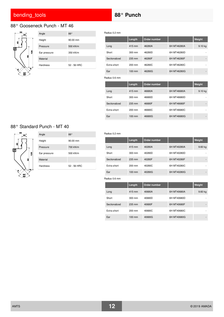# 88° Gooseneck Punch - MT 46



| Angle           | $88^\circ$           |
|-----------------|----------------------|
| Height          | $90.00 \, \text{mm}$ |
| Pressure        | 500 kN/m             |
| Ear pressure    | 350 kN/m             |
| Material        |                      |
| <b>Hardness</b> | 52 - 56 HRC          |

Radius 0.2 mm

|               | Length           | Order number |             | Weight  |
|---------------|------------------|--------------|-------------|---------|
| Long          | 415 mm           | 46280A       | 6H MT46280A | 9.10 kg |
| Short         | $300 \text{ mm}$ | 46280D       | 6H MT46280D |         |
| Sectionalized | 235 mm           | 46280F       | 6H MT46280F |         |
| Extra short   | 200 mm           | 46280C       | 6H MT46280C |         |
| Ear           | $100 \text{ mm}$ | 46280G       | 6H MT46280G |         |
| Radius 0.6 mm |                  |              |             |         |
|               | Length           | Order number |             | Weight  |
| Long          | 415 mm           | 46680A       | 6H MT46680A | 9.10 kg |
| Short         | $300 \text{ mm}$ | 46680D       | 6H MT46680D |         |
|               |                  |              |             |         |
| Sectionalized | 235 mm           | 46680F       | 6H MT46680F |         |
| Extra short   | 200 mm           | 46680C       | 6H MT46680C |         |

## 88° Standard Punch - MT 40



| Angle           | 88°         |
|-----------------|-------------|
| Height          | 90.00 mm    |
| Pressure        | 700 kN/m    |
| Ear pressure    | 500 kN/m    |
| Material        |             |
| <b>Hardness</b> | 52 - 56 HRC |

### Radius 0.2 mm

|               | Length           | Order number |             | Weight    |
|---------------|------------------|--------------|-------------|-----------|
| Long          | 415 mm           | 40280A       | 6H MT40280A | $9.60$ kg |
| Short         | 300 mm           | 40280D       | 6H MT40280D | ۰         |
| Sectionalized | 235 mm           | 40280F       | 6H MT40280F | -         |
| Extra short   | 200 mm           | 40280C       | 6H MT40280C | ۰         |
| Ear           | $100 \text{ mm}$ | 40280G       | 6H MT40280G |           |

|               | <b>Length</b>    | Order number |             | Weight  |
|---------------|------------------|--------------|-------------|---------|
| Long          | 415 mm           | 40680A       | 6H MT40680A | 9.60 kg |
| Short         | $300 \text{ mm}$ | 40680D       | 6H MT40680D |         |
| Sectionalized | 235 mm           | 40680F       | 6H MT40680F |         |
| Extra short   | $200 \text{ mm}$ | 40680C       | 6H MT40680C |         |
| Ear           | $100 \text{ mm}$ | 40680G       | 6H MT40680G |         |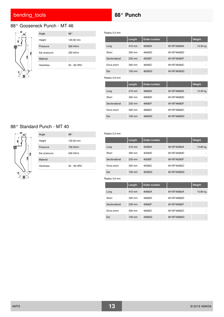# 88° Gooseneck Punch - MT 46



|  | Angle           | 88°         |
|--|-----------------|-------------|
|  | Height          | 120.00 mm   |
|  | Pressure        | 500 kN/m    |
|  | Ear pressure    | 350 kN/m    |
|  | Material        |             |
|  | <b>Hardness</b> | 52 - 56 HRC |
|  |                 |             |

Radius 0.2 mm

|               | Length           | Order number |             | Weight   |
|---------------|------------------|--------------|-------------|----------|
| Long          | 415 mm           | 46282A       | 6H MT46282A | 13.30 kg |
| Short         | 300 mm           | 46282D       | 6H MT46282D |          |
| Sectionalized | 235 mm           | 46282F       | 6H MT46282F |          |
| Extra short   | $200 \text{ mm}$ | 46282C       | 6H MT46282C |          |
| Ear           | 100 mm           | 46282G       | 6H MT46282G |          |
| Radius 0.6 mm |                  |              |             |          |
|               | Length           | Order number |             | Weight   |
| Long          | 415 mm           | 46682A       | 6H MT46682A | 13.30 kg |
| Short         | 300 mm           | 46682D       | 6H MT46682D |          |
| Sectionalized | 235 mm           | 46682F       | 6H MT46682F |          |

Extra short 200 mm 46682C 6H MT46682C -Ear 100 mm 46682G 6H MT46682G -

### 88° Standard Punch - MT 40



| Angle        | 88°         |
|--------------|-------------|
| Height       | 120.00 mm   |
| Pressure     | 700 kN/m    |
| Ear pressure | 500 kN/m    |
| Material     |             |
| Hardness     | 52 - 56 HRC |

#### Radius 0.2 mm

|               | Length           | Order number |             | Weight   |
|---------------|------------------|--------------|-------------|----------|
| Long          | 415 mm           | 40282A       | 6H MT40282A | 13.80 kg |
| Short         | 300 mm           | 40282D       | 6H MT40282D | ۰        |
| Sectionalized | 235 mm           | 40282F       | 6H MT40282F | -        |
| Extra short   | 200 mm           | 40282C       | 6H MT40282C | ۰        |
| Ear           | $100 \text{ mm}$ | 40282G       | 6H MT40282G | -        |

|               | Length           | Order number |             | Weight   |
|---------------|------------------|--------------|-------------|----------|
| Long          | 415 mm           | 40682A       | 6H MT40682A | 13.80 kg |
| Short         | $300 \text{ mm}$ | 40682D       | 6H MT40682D |          |
| Sectionalized | 235 mm           | 40682F       | 6H MT40682F | -        |
| Extra short   | $200 \text{ mm}$ | 40682C       | 6H MT40682C |          |
| Ear           | $100 \text{ mm}$ | 40682G       | 6H MT40682G |          |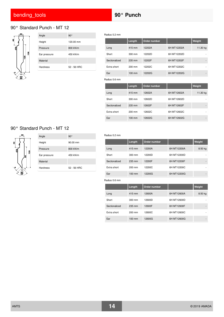# 90° Standard Punch - MT 12



|  | Angle           | $90^{\circ}$ |
|--|-----------------|--------------|
|  | Height          | 120.00 mm    |
|  | Pressure        | 800 kN/m     |
|  | Ear pressure    | 450 kN/m     |
|  | Material        |              |
|  | <b>Hardness</b> | 52 - 56 HRC  |

Radius 0.2 mm

|               | Length           | Order number |             | Weight   |
|---------------|------------------|--------------|-------------|----------|
| Long          | 415 mm           | 12202A       | 6H MT12202A | 11.30 kg |
| Short         | $300 \text{ mm}$ | 12202D       | 6H MT12202D |          |
| Sectionalized | 235 mm           | 12202F       | 6H MT12202F | ۰        |
| Extra short   | $200 \text{ mm}$ | 12202C       | 6H MT12202C | ۰        |
| Ear           | $100 \text{ mm}$ | 12202G       | 6H MT12202G |          |

Radius 0.6 mm

|               | Length           | Order number |             | Weight   |
|---------------|------------------|--------------|-------------|----------|
| Long          | 415 mm           | 12602A       | 6H MT12602A | 11.30 kg |
| Short         | 300 mm           | 12602D       | 6H MT12602D | ۰        |
| Sectionalized | 235 mm           | 12602F       | 6H MT12602F | -        |
| Extra short   | 200 mm           | 12602C       | 6H MT12602C |          |
| Ear           | $100 \text{ mm}$ | 12602G       | 6H MT12602G |          |

## 90° Standard Punch - MT 12



| Angle           | $90^{\circ}$         |
|-----------------|----------------------|
| Height          | $90.00 \, \text{mm}$ |
| Pressure        | 800 kN/m             |
| Ear pressure    | 450 kN/m             |
| Material        |                      |
| <b>Hardness</b> | 52 - 56 HRC          |
|                 |                      |

#### Radius 0.2 mm

|               | Length           | <b>Order number</b> |             | Weight  |
|---------------|------------------|---------------------|-------------|---------|
| Long          | 415 mm           | 12200A              | 6H MT12200A | 8.50 kg |
| Short         | $300 \text{ mm}$ | 12200D              | 6H MT12200D |         |
| Sectionalized | 235 mm           | 12200F              | 6H MT12200F | -       |
| Extra short   | $200 \text{ mm}$ | 12200C              | 6H MT12200C | ۰       |
| Ear           | 100 mm           | 12200G              | 6H MT12200G |         |

|               | Length   | Order number |             | Weight  |
|---------------|----------|--------------|-------------|---------|
| Long          | 415 mm   | 12600A       | 6H MT12600A | 8.50 kg |
| Short         | 300 mm   | 12600D       | 6H MT12600D |         |
| Sectionalized | 235 mm   | 12600F       | 6H MT12600F |         |
| Extra short   | 200 mm   | 12600C       | 6H MT12600C |         |
| Ear           | $100$ mm | 12600G       | 6H MT12600G |         |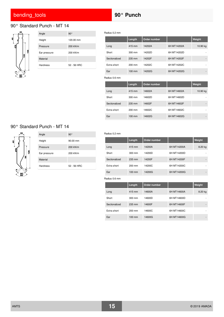## <span id="page-14-0"></span>90° Standard Punch - MT 14



| Angle        | 90°         |
|--------------|-------------|
| Height       | 120.00 mm   |
| Pressure     | 200 kN/m    |
| Ear pressure | 200 kN/m    |
| Material     |             |
| Hardness     | 52 - 56 HRC |

Radius 0.2 mm

|               | Length | Order number |             | Weight   |
|---------------|--------|--------------|-------------|----------|
| Long          | 415 mm | 14202A       | 6H MT14202A | 10.90 kg |
| Short         | 300 mm | 14202D       | 6H MT14202D |          |
| Sectionalized | 235 mm | 14202F       | 6H MT14202F |          |
| Extra short   | 200 mm | 14202C       | 6H MT14202C |          |
| Ear           | 100 mm | 14202G       | 6H MT14202G | ۰        |
| Radius 0.6 mm |        |              |             |          |
|               | Length | Order number |             | Weight   |
| Long          | 415 mm | 14602A       | 6H MT14602A | 10.90 kg |
| Short         | 300 mm | 14602D       | 6H MT14602D |          |
| Sectionalized | 235 mm | 14602F       | 6H MT14602F |          |

Extra short 200 mm 14602C 6H MT14602C Ear 100 mm 14602G 6H MT14602G

### 90° Standard Punch - MT 14



| Angle           | $90^{\circ}$ |
|-----------------|--------------|
| Height          | 90.00 mm     |
| Pressure        | 200 kN/m     |
| Ear pressure    | 200 kN/m     |
| Material        |              |
| <b>Hardness</b> | 52 - 56 HRC  |

#### Radius 0.2 mm

|               | Length           | Order number |             | Weight  |
|---------------|------------------|--------------|-------------|---------|
| Long          | 415 mm           | 14200A       | 6H MT14200A | 8.20 kg |
| Short         | 300 mm           | 14200D       | 6H MT14200D |         |
| Sectionalized | 235 mm           | 14200F       | 6H MT14200F | -       |
| Extra short   | 200 mm           | 14200C       | 6H MT14200C | ۰       |
| Ear           | $100 \text{ mm}$ | 14200G       | 6H MT14200G | -       |

|               | Length           | Order number |             | Weight  |
|---------------|------------------|--------------|-------------|---------|
| Long          | 415 mm           | 14600A       | 6H MT14600A | 8.20 kg |
| Short         | 300 mm           | 14600D       | 6H MT14600D |         |
| Sectionalized | 235 mm           | 14600F       | 6H MT14600F |         |
| Extra short   | $200$ mm         | 14600C       | 6H MT14600C |         |
| Ear           | $100 \text{ mm}$ | 14600G       | 6H MT14600G |         |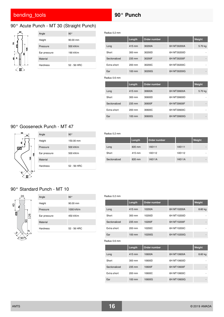## 90° Acute Punch - MT 30 (Straight Punch)



Radius 0.2 mm

|               | Length           | Order number |             | Weight  |
|---------------|------------------|--------------|-------------|---------|
| Long          | 415 mm           | 30200A       | 6H MT30200A | 5.70 kg |
| Short         | 300 mm           | 30200D       | 6H MT30200D |         |
| Sectionalized | 235 mm           | 30200F       | 6H MT30200F |         |
| Extra short   | 200 mm           | 30200C       | 6H MT30200C |         |
| Ear           | $100 \text{ mm}$ | 30200G       | 6H MT30200G |         |
| Radius 0.6 mm |                  |              |             |         |
|               | Length           | Order number |             | Weight  |
| Long          | 415 mm           | 30600A       | 6H MT30600A | 5.70 kg |
| Short         | 300 mm           | 30600D       | 6H MT30600D |         |
| Sectionalized | 235 mm           | 30600F       | 6H MT30600F |         |
| Extra short   | $200 \text{ mm}$ | 30600C       | 6H MT30600C |         |
| Ear           | $100 \text{ mm}$ | 30600G       | 6H MT30600G |         |

## 90° Gooseneck Punch - MT 47



|  | Angle           | $90^{\circ}$ |
|--|-----------------|--------------|
|  | Height          | 150.00 mm    |
|  | Pressure        | 500 kN/m     |
|  | Ear pressure    | 500 kN/m     |
|  | Material        |              |
|  | <b>Hardness</b> | 52 - 56 HRC  |
|  |                 |              |

### Radius 0.2 mm

|               | Length | Order number |        | Weight |
|---------------|--------|--------------|--------|--------|
| Long          | 835 mm | 1A5111       | 1A5111 | ۰      |
| Short         | 415 mm | 1A5112       | 1A5112 | ۰      |
| Sectionalized | 835 mm | 1A511A       | 1A511A | ۰      |

# 90° Standard Punch - MT 10



| Angle           | $90^{\circ}$         |
|-----------------|----------------------|
| Height          | $90.00 \, \text{mm}$ |
| Pressure        | 1000 kN/m            |
| Ear pressure    | 450 kN/m             |
| Material        |                      |
| <b>Hardness</b> | 52 - 56 HRC          |
|                 |                      |

### Radius 0.2 mm

|               | Length           | Order number |             | Weight  |
|---------------|------------------|--------------|-------------|---------|
| Long          | 415 mm           | 10200A       | 6H MT10200A | 8.60 kg |
| Short         | $300 \text{ mm}$ | 10200D       | 6H MT10200D |         |
| Sectionalized | 235 mm           | 10200F       | 6H MT10200F |         |
| Extra short   | $200 \text{ mm}$ | 10200C       | 6H MT10200C |         |
| Ear           | $100 \text{ mm}$ | 10200G       | 6H MT10200G |         |

|               | Length           | Order number |             | Weight    |
|---------------|------------------|--------------|-------------|-----------|
| Long          | 415 mm           | 10600A       | 6H MT10600A | $8.60$ kg |
| Short         | $300 \text{ mm}$ | 10600D       | 6H MT10600D |           |
| Sectionalized | 235 mm           | 10600F       | 6H MT10600F |           |
| Extra short   | $200 \text{ mm}$ | 10600C       | 6H MT10600C |           |
| Ear           | $100 \text{ mm}$ | 10600G       | 6H MT10600G |           |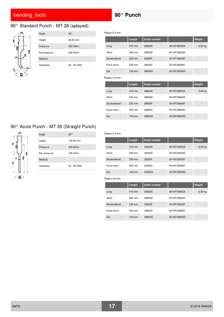## 90° Standard Punch - MT 28 (splayed)



|  | Angle        | 90°                  |
|--|--------------|----------------------|
|  | Height       | $90.00 \, \text{mm}$ |
|  | Pressure     | 300 kN/m             |
|  | Ear pressure | 300 kN/m             |
|  | Material     |                      |
|  | Hardness     | 52 - 56 HRC          |

Radius 0.2 mm

|               | Length           | Order number |             | Weight  |
|---------------|------------------|--------------|-------------|---------|
| Long          | 415 mm           | 28200A       | 6H MT28200A | 5.90 kg |
| Short         | $300 \text{ mm}$ | 28200D       | 6H MT28200D |         |
| Sectionalized | 235 mm           | 28200F       | 6H MT28200F |         |
| Extra short   | $200 \text{ mm}$ | 28200C       | 6H MT28200C |         |
| Ear           | $100 \text{ mm}$ | 28200G       | 6H MT28200G |         |
| Radius 0.6 mm |                  |              |             |         |
|               | Length           | Order number |             | Weight  |
| Long          | 415 mm           | 28600A       | 6H MT28600A | 5.90 kg |
| Short         | 300 mm           | 28600D       | 6H MT28600D |         |
| Sectionalized | 235 mm           | 28600F       | 6H MT28600F |         |
| Extra short   | 200 mm           | 28600C       | 6H MT28600C |         |
| Ear           | $100 \text{ mm}$ | 28600G       | 6H MT28600G |         |

# 90° Acute Punch - MT 30 (Straight Punch)



| Angle           | $90^{\circ}$ |
|-----------------|--------------|
| Height          | 120.00 mm    |
| Pressure        | 500 kN/m     |
| Ear pressure    | 190 kN/m     |
| Material        |              |
| <b>Hardness</b> | 52 - 56 HRC  |
|                 |              |

### Radius 0.2 mm

|               | Length           | Order number |             | Weight  |
|---------------|------------------|--------------|-------------|---------|
| Long          | 415 mm           | 30202A       | 6H MT30202A | 6.30 kg |
| Short         | $300 \text{ mm}$ | 30202D       | 6H MT30202D | ۰       |
| Sectionalized | 235 mm           | 30202F       | 6H MT30202F | -       |
| Extra short   | $200 \text{ mm}$ | 30202C       | 6H MT30202C | ۰       |
| Ear           | $100 \text{ mm}$ | 30202G       | 6H MT30202G | -       |

|               | Length           | Order number |             | Weight  |
|---------------|------------------|--------------|-------------|---------|
| Long          | 415 mm           | 30602A       | 6H MT30602A | 6.30 kg |
| Short         | 300 mm           | 30602D       | 6H MT30602D |         |
| Sectionalized | 235 mm           | 30602F       | 6H MT30602F |         |
| Extra short   | 200 mm           | 30602C       | 6H MT30602C |         |
| Ear           | $100 \text{ mm}$ | 30602G       | 6H MT30602G |         |

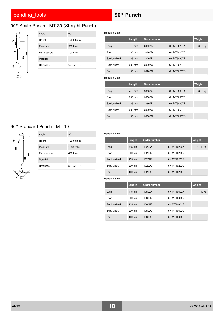# 90° Acute Punch - MT 30 (Straight Punch)



| Angle           | $90^{\circ}$ |
|-----------------|--------------|
| Height          | 170.00 mm    |
| Pressure        | 500 kN/m     |
| Ear pressure    | 190 kN/m     |
| Material        |              |
| <b>Hardness</b> | 52 - 56 HRC  |
|                 |              |

Radius 0.2 mm

|               | Length           | Order number |             | Weight  |
|---------------|------------------|--------------|-------------|---------|
| Long          | 415 mm           | 30207A       | 6H MT30207A | 8.10 kg |
| Short         | $300 \text{ mm}$ | 30207D       | 6H MT30207D |         |
| Sectionalized | 235 mm           | 30207F       | 6H MT30207F |         |
| Extra short   | 200 mm           | 30207C       | 6H MT30207C |         |
| Ear           | $100 \text{ mm}$ | 30207G       | 6H MT30207G |         |
|               |                  |              |             |         |
| Radius 0.6 mm |                  |              |             |         |
|               | Length           | Order number |             | Weight  |
| Long          | 415 mm           | 30607A       | 6H MT30607A | 8.10 kg |
| Short         | $300 \text{ mm}$ | 30607D       | 6H MT30607D |         |
| Sectionalized | 235 mm           | 30607F       | 6H MT30607F |         |
| Extra short   | 200 mm           | 30607C       | 6H MT30607C |         |

### 90° Standard Punch - MT 10



| Angle           | $90^{\circ}$ |
|-----------------|--------------|
| Height          | 120.00 mm    |
| Pressure        | 1000 kN/m    |
| Ear pressure    | 450 kN/m     |
| Material        |              |
| <b>Hardness</b> | 52 - 56 HRC  |

### Radius 0.2 mm

|               | Length           | Order number |             | Weight   |
|---------------|------------------|--------------|-------------|----------|
| Long          | 415 mm           | 10202A       | 6H MT10202A | 11.40 kg |
| Short         | 300 mm           | 10202D       | 6H MT10202D | ۰        |
| Sectionalized | 235 mm           | 10202F       | 6H MT10202F | -        |
| Extra short   | 200 mm           | 10202C       | 6H MT10202C | ۰        |
| Ear           | $100 \text{ mm}$ | 10202G       | 6H MT10202G | -        |

|               | Length           | Order number |             | Weight   |
|---------------|------------------|--------------|-------------|----------|
| Long          | 415 mm           | 10602A       | 6H MT10602A | 11.40 kg |
| Short         | 300 mm           | 10602D       | 6H MT10602D |          |
| Sectionalized | 235 mm           | 10602F       | 6H MT10602F | -        |
| Extra short   | $200 \text{ mm}$ | 10602C       | 6H MT10602C |          |
| Ear           | $100 \text{ mm}$ | 10602G       | 6H MT10602G |          |

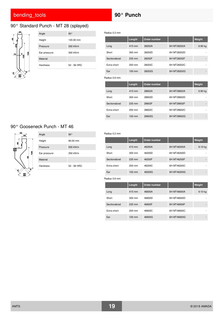# 90° Standard Punch - MT 28 (splayed)



| Angle        | $90^{\circ}$ |
|--------------|--------------|
| Height       | 120.00 mm    |
| Pressure     | 300 kN/m     |
| Ear pressure | 300 kN/m     |
| Material     |              |
| Hardness     | 52 - 56 HRC  |

Radius 0.2 mm

|               | Length           | Order number |             | Weight  |
|---------------|------------------|--------------|-------------|---------|
| Long          | 415 mm           | 28202A       | 6H MT28202A | 6.90 kg |
| Short         | 300 mm           | 28202D       | 6H MT28202D |         |
| Sectionalized | 235 mm           | 28202F       | 6H MT28202F |         |
| Extra short   | 200 mm           | 28202C       | 6H MT28202C |         |
| Ear           | $100 \text{ mm}$ | 28202G       | 6H MT28202G |         |
|               |                  |              |             |         |
| Radius 0.6 mm |                  |              |             |         |
|               | Length           | Order number |             | Weight  |
| Long          | 415 mm           | 28602A       | 6H MT28602A | 6.90 kg |
| Short         | 300 mm           | 28602D       | 6H MT28602D |         |
| Sectionalized | 235 mm           | 28602F       | 6H MT28602F |         |
| Extra short   | 200 mm           | 28602C       | 6H MT28602C |         |

# 90° Gooseneck Punch - MT 46



| Angle           | $90^{\circ}$         |
|-----------------|----------------------|
| Height          | $90.00 \, \text{mm}$ |
| Pressure        | 500 kN/m             |
| Ear pressure    | 350 kN/m             |
| Material        |                      |
| <b>Hardness</b> | 52 - 56 HRC          |

### Radius 0.2 mm

|               | Length           | Order number |             | <b>Weight</b>      |
|---------------|------------------|--------------|-------------|--------------------|
| Long          | 415 mm           | 46200A       | 6H MT46200A | 9.10 <sub>kg</sub> |
| Short         | $300 \text{ mm}$ | 46200D       | 6H MT46200D | ۰                  |
| Sectionalized | 235 mm           | 46200F       | 6H MT46200F | -                  |
| Extra short   | 200 mm           | 46200C       | 6H MT46200C | ۰                  |
| Ear           | $100 \text{ mm}$ | 46200G       | 6H MT46200G | -                  |

|               | Length           | Order number |             | Weight             |
|---------------|------------------|--------------|-------------|--------------------|
| Long          | 415 mm           | 46600A       | 6H MT46600A | 9.10 <sub>ka</sub> |
| Short         | $300 \text{ mm}$ | 46600D       | 6H MT46600D |                    |
| Sectionalized | 235 mm           | 46600F       | 6H MT46600F |                    |
| Extra short   | $200 \text{ mm}$ | 46600C       | 6H MT46600C |                    |
| Ear           | $100 \text{ mm}$ | 46600G       | 6H MT46600G |                    |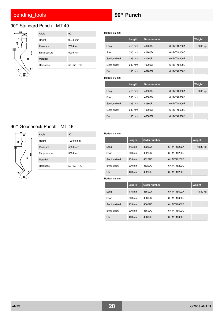# 90° Standard Punch - MT 40



| Angle        | $90^{\circ}$         |
|--------------|----------------------|
| Height       | $90.00 \, \text{mm}$ |
| Pressure     | 700 kN/m             |
| Ear pressure | 500 kN/m             |
| Material     |                      |
| Hardness     | 52 - 56 HRC          |
|              |                      |

Radius 0.2 mm

|               | Length | Order number |             | Weight  |
|---------------|--------|--------------|-------------|---------|
| Long          | 415 mm | 40200A       | 6H MT40200A | 9.60 kg |
| Short         | 300 mm | 40200D       | 6H MT40200D |         |
| Sectionalized | 235 mm | 40200F       | 6H MT40200F |         |
| Extra short   | 200 mm | 40200C       | 6H MT40200C |         |
| Ear           | 100 mm | 40200G       | 6H MT40200G |         |
| Radius 0.6 mm |        |              |             |         |
|               | Length | Order number |             | Weight  |
| Long          | 415 mm | 40600A       | 6H MT40600A | 9.60 kg |
| Short         | 300 mm | 40600D       | 6H MT40600D |         |
|               |        |              |             |         |
| Sectionalized | 235 mm | 40600F       | 6H MT40600F |         |
| Extra short   | 200 mm | 40600C       | 6H MT40600C |         |

# 90° Gooseneck Punch - MT 46



| Angle        | $90^{\circ}$ |
|--------------|--------------|
| Height       | 120.00 mm    |
| Pressure     | 500 kN/m     |
| Ear pressure | 350 kN/m     |
| Material     |              |
| Hardness     | 52 - 56 HRC  |

#### Radius 0.2 mm

|               | Length           | Order number |             | Weight   |
|---------------|------------------|--------------|-------------|----------|
| Long          | 415 mm           | 46202A       | 6H MT46202A | 13.30 kg |
| Short         | 300 mm           | 46202D       | 6H MT46202D |          |
| Sectionalized | 235 mm           | 46202F       | 6H MT46202F | -        |
| Extra short   | $200$ mm         | 46202C       | 6H MT46202C |          |
| Ear           | $100 \text{ mm}$ | 46202G       | 6H MT46202G | -        |

|               | Length           | Order number |             | Weight   |
|---------------|------------------|--------------|-------------|----------|
| Long          | 415 mm           | 46602A       | 6H MT46602A | 13.30 kg |
| Short         | $300 \text{ mm}$ | 46602D       | 6H MT46602D |          |
| Sectionalized | 235 mm           | 46602F       | 6H MT46602F |          |
| Extra short   | $200 \text{ mm}$ | 46602C       | 6H MT46602C |          |
| Ear           | $100 \text{ mm}$ | 46602G       | 6H MT46602G |          |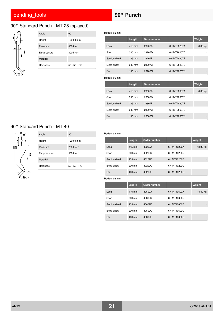# 90° Standard Punch - MT 28 (splayed)



| Angle        | 90°         |
|--------------|-------------|
| Height       | 170.00 mm   |
| Pressure     | 300 kN/m    |
| Ear pressure | 300 kN/m    |
| Material     |             |
| Hardness     | 52 - 56 HRC |

Radius 0.2 mm

|               | Length           | Order number |             | Weight  |
|---------------|------------------|--------------|-------------|---------|
| Long          | 415 mm           | 28207A       | 6H MT28207A | 8.60 kg |
| Short         | $300 \text{ mm}$ | 28207D       | 6H MT28207D |         |
| Sectionalized | 235 mm           | 28207F       | 6H MT28207F |         |
| Extra short   | 200 mm           | 28207C       | 6H MT28207C |         |
| Ear           | $100 \text{ mm}$ | 28207G       | 6H MT28207G |         |
| Radius 0.6 mm |                  |              |             |         |
|               | Length           | Order number |             | Weight  |
|               |                  |              |             |         |
| Long          | 415 mm           | 28607A       | 6H MT28607A | 8.60 kg |
| Short         | $300 \text{ mm}$ | 28607D       | 6H MT28607D |         |
| Sectionalized | 235 mm           | 28607F       | 6H MT28607F |         |
| Extra short   | $200$ mm         | 28607C       | 6H MT28607C |         |

## 90° Standard Punch - MT 40



| Angle        | $90^{\circ}$ |
|--------------|--------------|
| Height       | 120.00 mm    |
| Pressure     | 700 kN/m     |
| Ear pressure | 500 kN/m     |
| Material     |              |
| Hardness     | 52 - 56 HRC  |

### Radius 0.2 mm

|               | Length           | <b>Order number</b> |             | Weight   |
|---------------|------------------|---------------------|-------------|----------|
| Long          | 415 mm           | 40202A              | 6H MT40202A | 13.80 kg |
| Short         | 300 mm           | 40202D              | 6H MT40202D | ۰        |
| Sectionalized | 235 mm           | 40202F              | 6H MT40202F | -        |
| Extra short   | 200 mm           | 40202C              | 6H MT40202C | ۰        |
| Ear           | $100 \text{ mm}$ | 40202G              | 6H MT40202G | ۰        |

|               | Length           | Order number |             | Weight   |
|---------------|------------------|--------------|-------------|----------|
| Long          | 415 mm           | 40602A       | 6H MT40602A | 13.80 kg |
| Short         | $300 \text{ mm}$ | 40602D       | 6H MT40602D |          |
| Sectionalized | 235 mm           | 40602F       | 6H MT40602F | -        |
| Extra short   | $200 \text{ mm}$ | 40602C       | 6H MT40602C |          |
| Ear           | $100 \text{ mm}$ | 40602G       | 6H MT40602G |          |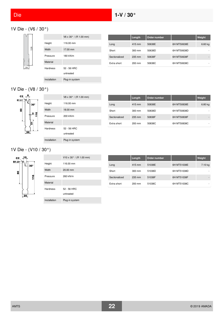# 1V Die - (V6 / 30°)



|              | V6 x 30° / (R 1.00 mm)   |
|--------------|--------------------------|
| Height       | 116.00 mm                |
| Width        | 17.00 mm                 |
| Pressure     | 180 kN/m                 |
| Material     |                          |
| Hardness     | 52 - 56 HRC<br>untreated |
| Installation | Plug-in system           |

|               | Length           | Order number |             | Weight    |
|---------------|------------------|--------------|-------------|-----------|
| Long          | 415 mm           | 50638E       | 6H MT50638E | $6.60$ kg |
| Short         | $300 \text{ mm}$ | 50638D       | 6H MT50638D | ۰         |
| Sectionalized | 235 mm           | 50638F       | 6H MT50638F |           |
| Extra short   | $200$ mm         | 50638C       | 6H MT50638C |           |

# 1V Die - (V8 / 30°)



|              | $V8 \times 30^{\circ}$ / (R 1.00 mm) |
|--------------|--------------------------------------|
| Height       | 116.00 mm                            |
| Width        | 18.00 mm                             |
| Pressure     | 200 kN/m                             |
| Material     |                                      |
| Hardness     | 52 - 56 HRC                          |
|              | untreated                            |
| Installation | Plug-in system                       |

|               | Length           | Order number |             | Weight  |
|---------------|------------------|--------------|-------------|---------|
| Long          | 415 mm           | 50838E       | 6H MT50838E | 6.80 kg |
| Short         | $300 \text{ mm}$ | 50838D       | 6H MT50838D |         |
| Sectionalized | $235 \text{ mm}$ | 50838F       | 6H MT50838F |         |
| Extra short   | $200 \text{ mm}$ | 50838C       | 6H MT50838C |         |

## 1V Die - (V10 / 30°)



|              | $V10 \times 30^{\circ}$ / (R 1.00 mm) |
|--------------|---------------------------------------|
| Height       | 116.00 mm                             |
| Width        | $20.00 \, \text{mm}$                  |
| Pressure     | 260 kN/m                              |
| Material     |                                       |
| Hardness     | 52 - 56 HRC<br>untreated              |
| Installation | Plug-in system                        |

|               | Length           | Order number |             | Weight  |
|---------------|------------------|--------------|-------------|---------|
| Long          | 415 mm           | 51038E       | 6H MT51038E | 7.10 kg |
| Short         | $300 \text{ mm}$ | 51038D       | 6H MT51038D |         |
| Sectionalized | 235 mm           | 51038F       | 6H MT51038F |         |
| Extra short   | $200$ mm         | 51038C       | 6H MT51038C |         |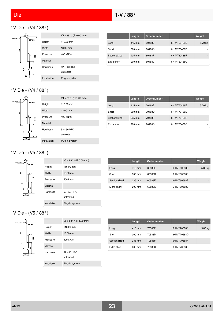# <span id="page-22-1"></span><span id="page-22-0"></span>1V Die - (V4 / 88°)



|              | $V4 \times 88^{\circ}$ / (R 0.00 mm) |
|--------------|--------------------------------------|
| Height       | 116.00 mm                            |
| Width        | 13.00 mm                             |
| Pressure     | 400 kN/m                             |
| Material     |                                      |
| Hardness     | 52 - 56 HRC                          |
|              | untreated                            |
| Installation | Plug-in system                       |

|               | Length | Order number |             | Weight  |
|---------------|--------|--------------|-------------|---------|
| Long          | 415 mm | 60488E       | 6H MT60488E | 5.70 kg |
| Short         | 300 mm | 60488D       | 6H MT60488D | ۰       |
| Sectionalized | 235 mm | 60488F       | 6H MT60488F |         |
| Extra short   | 200 mm | 60488C       | 6H MT60488C | ۰       |

# 1V Die - (V4 / 88°)



|                 | V4 x 88° / (R 1.00 mm)   |
|-----------------|--------------------------|
| Height          | 116.00 mm                |
| Width           | 13.00 mm                 |
| Pressure        | 400 kN/m                 |
| Material        |                          |
| <b>Hardness</b> | 52 - 56 HRC<br>untreated |
| Installation    | Plug-in system           |

|               | Length           | Order number |             | Weight  |
|---------------|------------------|--------------|-------------|---------|
| Long          | 415 mm           | 70488E       | 6H MT70488E | 5.70 kg |
| Short         | $300 \text{ mm}$ | 70488D       | 6H MT70488D |         |
| Sectionalized | $235 \text{ mm}$ | 70488F       | 6H MT70488F |         |
| Extra short   | $200 \text{ mm}$ | 70488C       | 6H MT70488C | ۰       |

# 1V Die - (V5 / 88°)



|                 | $V5 \times 88^{\circ}$ / (R 0.00 mm) |
|-----------------|--------------------------------------|
| Height          | 116.00 mm                            |
| Width           | 13.50 mm                             |
| Pressure        | 500 kN/m                             |
| Material        |                                      |
| <b>Hardness</b> | 52 - 56 HRC                          |
|                 | untreated                            |
| Installation    | Plug-in system                       |

|               | Length           | Order number |             | Weight  |
|---------------|------------------|--------------|-------------|---------|
| Long          | 415 mm           | 60588E       | 6H MT60588E | 5.80 kg |
| Short         | 300 mm           | 60588D       | 6H MT60588D |         |
| Sectionalized | 235 mm           | 60588F       | 6H MT60588F |         |
| Extra short   | $200 \text{ mm}$ | 60588C       | 6H MT60588C | ۰       |

# 1V Die - (V5 / 88°)



|              | $V5 \times 88^{\circ}$ / (R 1.00 mm) |
|--------------|--------------------------------------|
| Height       | 116.00 mm                            |
| Width        | 13.50 mm                             |
| Pressure     | 500 kN/m                             |
| Material     |                                      |
| Hardness     | 52 - 56 HRC                          |
|              | untreated                            |
| Installation | Plug-in system                       |
|              |                                      |

|               | Length           | Order number |             | Weight  |
|---------------|------------------|--------------|-------------|---------|
| Long          | 415 mm           | 70588E       | 6H MT70588E | 5.80 kg |
| Short         | $300 \text{ mm}$ | 70588D       | 6H MT70588D | ۰       |
| Sectionalized | 235 mm           | 70588F       | 6H MT70588F | -       |
| Extra short   | $200 \text{ mm}$ | 70588C       | 6H MT70588C | ۰       |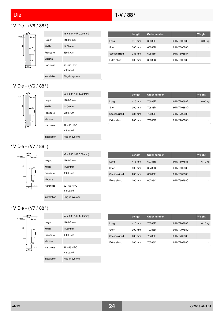# <span id="page-23-0"></span>1V Die - (V6 / 88°)



|                 | $V6 \times 88^{\circ}$ / (R 0.00 mm) |
|-----------------|--------------------------------------|
|                 |                                      |
| Height          | 116.00 mm                            |
| Width           | 14.00 mm                             |
| Pressure        | 550 kN/m                             |
| Material        |                                      |
| <b>Hardness</b> | 52 - 56 HRC                          |
|                 | untreated                            |
| Installation    | Plug-in system                       |

|               | Length           | Order number |             | Weight  |
|---------------|------------------|--------------|-------------|---------|
| Long          | $415 \text{ mm}$ | 60688E       | 6H MT60688E | 6.00 kg |
| Short         | $300 \text{ mm}$ | 60688D       | 6H MT60688D |         |
| Sectionalized | 235 mm           | 60688F       | 6H MT60688F |         |
| Extra short   | $200$ mm         | 60688C       | 6H MT60688C | ۰       |

# 1V Die - (V6 / 88°)



|              | $V6 \times 88^{\circ}$ / (R 1.00 mm) |
|--------------|--------------------------------------|
| Height       | 116.00 mm                            |
| Width        | 14.00 mm                             |
| Pressure     | 550 kN/m                             |
| Material     |                                      |
| Hardness     | 52 - 56 HRC                          |
|              | untreated                            |
| Installation | Plug-in system                       |

|               | Length           | Order number |             | Weight  |
|---------------|------------------|--------------|-------------|---------|
| Long          | 415 mm           | 70688E       | 6H MT70688E | 6.00 kg |
| Short         | 300 mm           | 70688D       | 6H MT70688D |         |
| Sectionalized | 235 mm           | 70688F       | 6H MT70688F |         |
| Extra short   | $200 \text{ mm}$ | 70688C       | 6H MT70688C |         |

## 1V Die - (V7 / 88°)



|               | Length   | Order number |             | Weight    |
|---------------|----------|--------------|-------------|-----------|
| Long          | 415 mm   | 60788E       | 6H MT60788E | $6.10$ kg |
| Short         | 300 mm   | 60788D       | 6H MT60788D | ۰         |
| Sectionalized | 235 mm   | 60788F       | 6H MT60788F |           |
| Extra short   | $200$ mm | 60788C       | 6H MT60788C |           |

## 1V Die - (V7 / 88°)



|                 | $V7 \times 88^{\circ}$ / (R 1.00 mm) |
|-----------------|--------------------------------------|
| Height          | 116.00 mm                            |
| Width           | 14.50 mm                             |
| Pressure        | 600 kN/m                             |
| Material        |                                      |
| <b>Hardness</b> | 52 - 56 HRC<br>untreated             |
| Installation    | Plug-in system                       |

|               | Length           | Order number |             | Weight    |
|---------------|------------------|--------------|-------------|-----------|
| Long          | 415 mm           | 70788E       | 6H MT70788E | $6.10$ kg |
| Short         | $300 \text{ mm}$ | 70788D       | 6H MT70788D |           |
| Sectionalized | 235 mm           | 70788F       | 6H MT70788F |           |
| Extra short   | $200 \text{ mm}$ | 70788C       | 6H MT70788C |           |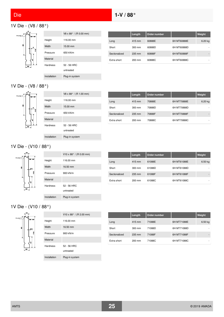# 1V Die - (V8 / 88°)



|                 | V8 x 88° / (R 0.00 mm) |
|-----------------|------------------------|
| Height          | 116.00 mm              |
| Width           | 15.00 mm               |
| Pressure        | 650 kN/m               |
| <b>Material</b> |                        |
| <b>Hardness</b> | 52 - 56 HRC            |
|                 | untreated              |
| Installation    | Plug-in system         |

|               | Length           | Order number |             | <b>Weight</b> |
|---------------|------------------|--------------|-------------|---------------|
| Long          | $415 \text{ mm}$ | 60888E       | 6H MT60888E | 6.20 kg       |
| Short         | $300 \text{ mm}$ | 60888D       | 6H MT60888D |               |
| Sectionalized | 235 mm           | 60888F       | 6H MT60888F |               |
| Extra short   | $200$ mm         | 60888C       | 6H MT60888C | ۰             |

# 1V Die - (V8 / 88°)



|              | $V8 \times 88^{\circ}$ / (R 1.00 mm) |
|--------------|--------------------------------------|
| Height       | 116.00 mm                            |
| Width        | 15.00 mm                             |
| Pressure     | 650 kN/m                             |
| Material     |                                      |
| Hardness     | 52 - 56 HRC                          |
|              | untreated                            |
| Installation | Plug-in system                       |

|               | Length           | Order number |             | Weight  |
|---------------|------------------|--------------|-------------|---------|
| Long          | 415 mm           | 70888E       | 6H MT70888E | 6.20 kg |
| Short         | $300 \text{ mm}$ | 70888D       | 6H MT70888D |         |
| Sectionalized | 235 mm           | 70888F       | 6H MT70888F |         |
| Extra short   | $200 \text{ mm}$ | 70888C       | 6H MT70888C |         |

# 1V Die - (V10 / 88°)



|               | Length           | <b>Order number</b> |             | Weight  |
|---------------|------------------|---------------------|-------------|---------|
| Long          | 415 mm           | 61088E              | 6H MT61088E | 6.50 kg |
| Short         | $300 \text{ mm}$ | 61088D              | 6H MT61088D |         |
| Sectionalized | 235 mm           | 61088F              | 6H MT61088F |         |
| Extra short   | $200 \text{ mm}$ | 61088C              | 6H MT61088C |         |

# 1V Die - (V10 / 88°)



|              | V10 x 88 $^{\circ}$ / (R 2.00 mm) |
|--------------|-----------------------------------|
| Height       | 116.00 mm                         |
| Width        | 16.50 mm                          |
| Pressure     | 900 kN/m                          |
| Material     |                                   |
| Hardness     | 52 - 56 HRC                       |
|              | untreated                         |
| Installation | Plug-in system                    |
|              |                                   |

|               | Length           | Order number |             | Weight  |
|---------------|------------------|--------------|-------------|---------|
| Long          | 415 mm           | 71088E       | 6H MT71088E | 6.50 kg |
| Short         | $300 \text{ mm}$ | 71088D       | 6H MT71088D | ۰       |
| Sectionalized | 235 mm           | 71088F       | 6H MT71088F |         |
| Extra short   | $200$ mm         | 71088C       | 6H MT71088C | ۰       |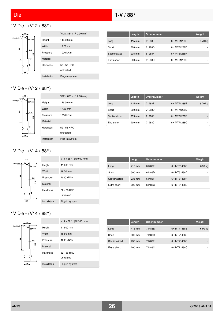# 1V Die - (V12 / 88°)



|              | $V12 \times 88^{\circ}$ / (R 0.00 mm) |
|--------------|---------------------------------------|
| Height       | 116.00 mm                             |
| Width        | 17.50 mm                              |
| Pressure     | 1000 kN/m                             |
| Material     |                                       |
| Hardness     | 52 - 56 HRC                           |
|              | untreated                             |
| Installation | Plug-in system                        |

|               | Length           | Order number |             | Weight  |
|---------------|------------------|--------------|-------------|---------|
| Long          | $415 \text{ mm}$ | 61288E       | 6H MT61288E | 6.70 kg |
| Short         | 300 mm           | 61288D       | 6H MT61288D |         |
| Sectionalized | 235 mm           | 61288F       | 6H MT61288F |         |
| Extra short   | $200 \text{ mm}$ | 61288C       | 6H MT61288C | ۰       |

## 1V Die - (V12 / 88°)



|              | $V12 \times 88^{\circ}$ / (R 2.00 mm) |
|--------------|---------------------------------------|
| Height       | 116.00 mm                             |
| Width        | 17.50 mm                              |
| Pressure     | 1000 kN/m                             |
| Material     |                                       |
| Hardness     | 52 - 56 HRC<br>untreated              |
| Installation | Plug-in system                        |

|               | Length           | Order number |             | Weight  |
|---------------|------------------|--------------|-------------|---------|
| Long          | 415 mm           | 71288E       | 6H MT71288E | 6.70 kg |
| Short         | $300 \text{ mm}$ | 71288D       | 6H MT71288D |         |
| Sectionalized | 235 mm           | 71288F       | 6H MT71288F | ۰       |
| Extra short   | $200 \text{ mm}$ | 71288C       | 6H MT71288C |         |

### 1V Die - (V14 / 88°)



|               | Length           | Order number |             | Weight  |
|---------------|------------------|--------------|-------------|---------|
| Long          | 415 mm           | 61488E       | 6H MT61488E | 6.90 kg |
| Short         | $300 \text{ mm}$ | 61488D       | 6H MT61488D |         |
| Sectionalized | 235 mm           | 61488F       | 6H MT61488F | -       |
| Extra short   | $200 \text{ mm}$ | 61488C       | 6H MT61488C | ۰       |

# 1V Die - (V14 / 88°)



|              | V14 x 88 $^{\circ}$ / (R 2.00 mm) |
|--------------|-----------------------------------|
| Height       | 116.00 mm                         |
| Width        | 18.50 mm                          |
| Pressure     | 1000 kN/m                         |
| Material     |                                   |
| Hardness     | 52 - 56 HRC                       |
|              | untreated                         |
| Installation | Plug-in system                    |
|              |                                   |

|               | Length           | Order number |             | Weight  |
|---------------|------------------|--------------|-------------|---------|
| Long          | 415 mm           | 71488E       | 6H MT71488E | 6.90 kg |
| Short         | $300 \text{ mm}$ | 71488D       | 6H MT71488D |         |
| Sectionalized | 235 mm           | 71488F       | 6H MT71488F |         |
| Extra short   | $200 \text{ mm}$ | 71488C       | 6H MT71488C |         |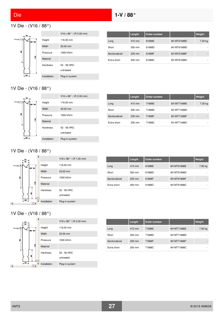## 1V Die - (V16 / 88°)



|              | $V16 \times 88^{\circ}$ / (R 0.00 mm) |
|--------------|---------------------------------------|
| Height       | 116.00 mm                             |
| Width        | $20.00 \text{ mm}$                    |
| Pressure     | 1000 kN/m                             |
| Material     |                                       |
| Hardness     | 52 - 56 HRC<br>untreated              |
| Installation | Plug-in system                        |

|               | Length           | Order number |             | <b>Weight</b> |
|---------------|------------------|--------------|-------------|---------------|
| Long          | 415 mm           | 61688E       | 6H MT61688E | 7.20 kg       |
| Short         | 300 mm           | 61688D       | 6H MT61688D |               |
| Sectionalized | 235 mm           | 61688F       | 6H MT61688F |               |
| Extra short   | $200 \text{ mm}$ | 61688C       | 6H MT61688C | ۰             |

## 1V Die - (V16 / 88°)



|               | Length           | Order number |             | Weight  |
|---------------|------------------|--------------|-------------|---------|
| Long          | 415 mm           | 71688E       | 6H MT71688E | 7.20 kg |
| Short         | $300 \text{ mm}$ | 71688D       | 6H MT71688D |         |
| Sectionalized | 235 mm           | 71688F       | 6H MT71688F |         |
| Extra short   | $200 \text{ mm}$ | 71688C       | 6H MT71688C |         |

### 1V Die - (V18 / 88°)



|               | Length           | Order number |             | Weight  |
|---------------|------------------|--------------|-------------|---------|
| Long          | 415 mm           | 61888E       | 6H MT61888E | 7.90 kg |
| Short         | $300 \text{ mm}$ | 61888D       | 6H MT61888D |         |
| Sectionalized | 235 mm           | 61888F       | 6H MT61888F |         |
| Extra short   | $200 \text{ mm}$ | 61888C       | 6H MT61888C | ۰       |

## 1V Die - (V18 / 88°)



|               | Length           | Order number |             | <b>Weight</b> |
|---------------|------------------|--------------|-------------|---------------|
| Long          | 415 mm           | 71888E       | 6H MT71888E | 7.90 kg       |
| Short         | $300 \text{ mm}$ | 71888D       | 6H MT71888D |               |
| Sectionalized | $235$ mm         | 71888F       | 6H MT71888F |               |
| Extra short   | $200 \text{ mm}$ | 71888C       | 6H MT71888C |               |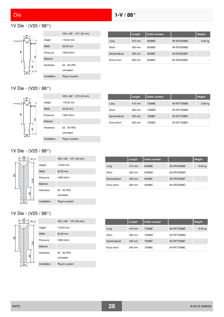## 1V Die - (V20 / 88°)



|              | $V20 \times 88^{\circ}$ / (R 1.00 mm) |
|--------------|---------------------------------------|
| Height       | 116.00 mm                             |
| Width        | 25.00 mm                              |
| Pressure     | 1000 kN/m                             |
| Material     |                                       |
| Hardness     | 52 - 56 HRC<br>untreated              |
| Installation | Plug-in system                        |

|               | Length           | Order number |             | Weight  |
|---------------|------------------|--------------|-------------|---------|
| Long          | 415 mm           | 62088E       | 6H MT62088E | 8.30 kg |
| Short         | $300 \text{ mm}$ | 62088D       | 6H MT62088D |         |
| Sectionalized | 235 mm           | 62088F       | 6H MT62088F | -       |
| Extra short   | 200 mm           | 62088C       | 6H MT62088C |         |

## 1V Die - (V20 / 88°)



|                 | V20 x 88 $^{\circ}$ / (R 3.00 mm) |
|-----------------|-----------------------------------|
| Height          | 116.00 mm                         |
| Width           | 25.00 mm                          |
| Pressure        | 1000 kN/m                         |
| Material        |                                   |
| <b>Hardness</b> | 52 - 56 HRC<br>untreated          |
| Installation    | Plug-in system                    |

|               | Length           | Order number |             | Weight  |
|---------------|------------------|--------------|-------------|---------|
| Long          | $415 \text{ mm}$ | 72088E       | 6H MT72088E | 8.30 kg |
| Short         | $300 \text{ mm}$ | 72088D       | 6H MT72088D |         |
| Sectionalized | 235 mm           | 72088F       | 6H MT72088F |         |
| Extra short   | $200 \text{ mm}$ | 72088C       | 6H MT72088C |         |

### 1V Die - (V25 / 88°)



|               | Length           | Order number |             | Weight    |
|---------------|------------------|--------------|-------------|-----------|
| Long          | 415 mm           | 62588E       | 6H MT62588E | $9.40$ kg |
| Short         | $300 \text{ mm}$ | 62588D       | 6H MT62588D |           |
| Sectionalized | 235 mm           | 62588F       | 6H MT62588F |           |
| Extra short   | $200 \text{ mm}$ | 62588C       | 6H MT62588C | ۰         |

# 1V Die - (V25 / 88°)



|               | Length           | Order number |             | Weight  |
|---------------|------------------|--------------|-------------|---------|
| Long          | 415 mm           | 72588E       | 6H MT72588E | 9.40 kg |
| Short         | $300 \text{ mm}$ | 72588D       | 6H MT72588D | ۰       |
| Sectionalized | 235 mm           | 72588F       | 6H MT72588F | -       |
| Extra short   | $200 \text{ mm}$ | 72588C       | 6H MT72588C | ۰       |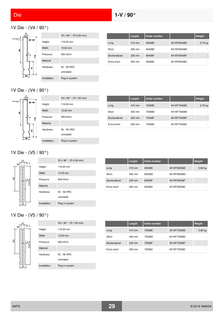# 1V Die - (V4 / 90°)



|              | $V4 \times 90^{\circ}$ / (R 0.00 mm) |
|--------------|--------------------------------------|
| Height       | 116.00 mm                            |
| Width        | 13.00 mm                             |
| Pressure     | 400 kN/m                             |
| Material     |                                      |
| Hardness     | 52 - 56 HRC                          |
|              | untreated                            |
| Installation | Plug-in system                       |

|               | Length           | Order number |             | Weight  |
|---------------|------------------|--------------|-------------|---------|
| Long          | 415 mm           | 60408E       | 6H MT60408E | 5.70 kg |
| Short         | $300 \text{ mm}$ | 60408D       | 6H MT60408D | ۰       |
| Sectionalized | 235 mm           | 60408F       | 6H MT60408F |         |
| Extra short   | $200 \text{ mm}$ | 60408C       | 6H MT60408C | ۰       |

# 1V Die - (V4 / 90°)



|              | $V4 \times 90^{\circ}$ / (R 1.00 mm) |
|--------------|--------------------------------------|
| Height       | 116.00 mm                            |
| Width        | 13.00 mm                             |
| Pressure     | 400 kN/m                             |
| Material     |                                      |
| Hardness     | 52 - 56 HRC<br>untreated             |
| Installation | Plug-in system                       |

|               | Length           | Order number |             | <b>Weight</b> |
|---------------|------------------|--------------|-------------|---------------|
| Long          | 415 mm           | 70408E       | 6H MT70408E | 5.70 kg       |
| Short         | $300 \text{ mm}$ | 70408D       | 6H MT70408D | ۰             |
| Sectionalized | 235 mm           | 70408F       | 6H MT70408F |               |
| Extra short   | $200 \text{ mm}$ | 70408C       | 6H MT70408C | ۰             |

# 1V Die - (V5 / 90°)



|                 | V5 x 90° / (R 0.00 mm) |
|-----------------|------------------------|
| Height          | 116.00 mm              |
| Width           | 13.50 mm               |
| Pressure        | 500 kN/m               |
| Material        |                        |
| <b>Hardness</b> | 52 - 56 HRC            |
|                 | untreated              |
| Installation    | Plug-in system         |

|               | Length           | Order number |             | <b>Weight</b> |
|---------------|------------------|--------------|-------------|---------------|
| Long          | 415 mm           | 60508E       | 6H MT60508E | 5.80 kg       |
| Short         | $300 \text{ mm}$ | 60508D       | 6H MT60508D |               |
| Sectionalized | 235 mm           | 60508F       | 6H MT60508F | -             |
| Extra short   | $200 \text{ mm}$ | 60508C       | 6H MT60508C | ۰             |

# 1V Die - (V5 / 90°)



|                 | $V5 \times 90^{\circ}$ / (R 1.00 mm) |
|-----------------|--------------------------------------|
| Height          | 116.00 mm                            |
| Width           | 13.50 mm                             |
| Pressure        | 500 kN/m                             |
| Material        |                                      |
| <b>Hardness</b> | 52 - 56 HRC                          |
|                 | untreated                            |
| Installation    | Plug-in system                       |

|               | Length           | Order number |             | Weight  |
|---------------|------------------|--------------|-------------|---------|
| Long          | 415 mm           | 70508E       | 6H MT70508E | 5.80 kg |
| Short         | 300 mm           | 70508D       | 6H MT70508D |         |
| Sectionalized | 235 mm           | 70508F       | 6H MT70508F |         |
| Extra short   | $200 \text{ mm}$ | 70508C       | 6H MT70508C |         |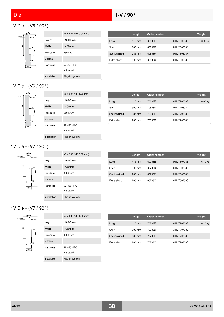# <span id="page-29-0"></span>1V Die - (V6 / 90°)



|                 | $V6 \times 90^{\circ}$ / (R 0.00 mm) |
|-----------------|--------------------------------------|
| Height          | 116.00 mm                            |
| Width           | 14.00 mm                             |
| Pressure        | 550 kN/m                             |
| Material        |                                      |
| <b>Hardness</b> | 52 - 56 HRC                          |
|                 | untreated                            |
| Installation    | Plug-in system                       |

|               | Length           | <b>Order number</b> |             | Weight             |
|---------------|------------------|---------------------|-------------|--------------------|
| Long          | $415 \text{ mm}$ | 60608E              | 6H MT60608E | 6.00 <sub>ka</sub> |
| Short         | $300 \text{ mm}$ | 60608D              | 6H MT60608D |                    |
| Sectionalized | 235 mm           | 60608F              | 6H MT60608F |                    |
| Extra short   | $200 \text{ mm}$ | 60608C              | 6H MT60608C | ۰                  |

# 1V Die - (V6 / 90°)



|              | $V6 \times 90^{\circ}$ / (R 1.00 mm) |
|--------------|--------------------------------------|
| Height       | 116.00 mm                            |
| Width        | 14.00 mm                             |
| Pressure     | 550 kN/m                             |
| Material     |                                      |
| Hardness     | 52 - 56 HRC                          |
|              | untreated                            |
| Installation | Plug-in system                       |

|               | Length           | <b>Order number</b> |             | Weight  |
|---------------|------------------|---------------------|-------------|---------|
| Long          | 415 mm           | 70608E              | 6H MT70608E | 6.00 kg |
| Short         | $300 \text{ mm}$ | 70608D              | 6H MT70608D |         |
| Sectionalized | 235 mm           | 70608F              | 6H MT70608F |         |
| Extra short   | $200 \text{ mm}$ | 70608C              | 6H MT70608C |         |

## 1V Die - (V7 / 90°)



|               | Length | Order number |             | Weight  |
|---------------|--------|--------------|-------------|---------|
| Long          | 415 mm | 60708E       | 6H MT60708E | 6.10 kg |
| Short         | 300 mm | 60708D       | 6H MT60708D |         |
| Sectionalized | 235 mm | 60708F       | 6H MT60708F |         |
| Extra short   | 200 mm | 60708C       | 6H MT60708C |         |

## 1V Die - (V7 / 90°)



|                 | $V7 \times 90^{\circ}$ / (R 1.00 mm) |
|-----------------|--------------------------------------|
| Height          | 116.00 mm                            |
| Width           | 14.50 mm                             |
| Pressure        | 600 kN/m                             |
| Material        |                                      |
| <b>Hardness</b> | 52 - 56 HRC<br>untreated             |
| Installation    | Plug-in system                       |

|               | Length           | <b>Order number</b> |             | Weight    |
|---------------|------------------|---------------------|-------------|-----------|
| Long          | 415 mm           | 70708E              | 6H MT70708E | $6.10$ kg |
| Short         | $300 \text{ mm}$ | 70708D              | 6H MT70708D |           |
| Sectionalized | 235 mm           | 70708F              | 6H MT70708F |           |
| Extra short   | $200$ mm         | 70708C              | 6H MT70708C |           |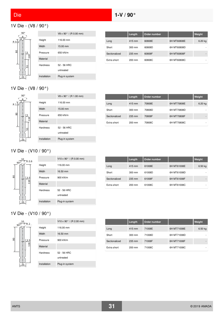# 1V Die - (V8 / 90°)



|                 | $V8 \times 90^{\circ}$ / (R 0.00 mm) |
|-----------------|--------------------------------------|
| Height          | 116.00 mm                            |
| Width           | 15.00 mm                             |
| Pressure        | 650 kN/m                             |
| Material        |                                      |
| <b>Hardness</b> | 52 - 56 HRC                          |
|                 | untreated                            |
| Installation    | Plug-in system                       |

|               | Length           | Order number |             | Weight    |
|---------------|------------------|--------------|-------------|-----------|
| Long          | 415 mm           | 60808E       | 6H MT60808E | $6.20$ kg |
| Short         | $300 \text{ mm}$ | 60808D       | 6H MT60808D |           |
| Sectionalized | 235 mm           | 60808F       | 6H MT60808F | -         |
| Extra short   | $200 \text{ mm}$ | 60808C       | 6H MT60808C | ۰         |

# 1V Die - (V8 / 90°)



|                 | V8 x 90° / (R 1.00 mm)   |
|-----------------|--------------------------|
| Height          | 116.00 mm                |
| Width           | 15.00 mm                 |
| Pressure        | 650 kN/m                 |
| Material        |                          |
| <b>Hardness</b> | 52 - 56 HRC<br>untreated |
| Installation    | Plug-in system           |

|               | Length           | Order number |             | Weight    |
|---------------|------------------|--------------|-------------|-----------|
| Long          | 415 mm           | 70808E       | 6H MT70808E | $6.20$ kg |
| Short         | $300 \text{ mm}$ | 70808D       | 6H MT70808D |           |
| Sectionalized | 235 mm           | 70808F       | 6H MT70808F | -         |
| Extra short   | 200 mm           | 70808C       | 6H MT70808C | ۰         |

# 1V Die - (V10 / 90°)

Material



|                 | $V10 \times 90^{\circ}$ / (R 0.00 mm) |
|-----------------|---------------------------------------|
| Height          | 116.00 mm                             |
| Width           | 16.50 mm                              |
| Pressure        | 900 kN/m                              |
| Material        |                                       |
| <b>Hardness</b> | 52 - 56 HRC                           |
|                 | untreated                             |
| Installation    | Plug-in system                        |

|               | Length           | Order number |             | Weight    |
|---------------|------------------|--------------|-------------|-----------|
| Long          | 415 mm           | 61008E       | 6H MT61008E | $6.50$ kg |
| Short         | $300 \text{ mm}$ | 61008D       | 6H MT61008D |           |
| Sectionalized | 235 mm           | 61008F       | 6H MT61008F | -         |
| Extra short   | $200 \text{ mm}$ | 61008C       | 6H MT61008C |           |

# 1V Die - (V10 / 90°)



|                 | $V10 \times 90^{\circ}$ / (R 2.00 mm) |
|-----------------|---------------------------------------|
| Height          | 116.00 mm                             |
| Width           | 16.50 mm                              |
| Pressure        | 900 kN/m                              |
| Material        |                                       |
| <b>Hardness</b> | 52 - 56 HRC                           |
|                 | untreated                             |
| Installation    | Plug-in system                        |

|               | Length           | Order number |             | Weight  |
|---------------|------------------|--------------|-------------|---------|
| Long          | 415 mm           | 71008E       | 6H MT71008E | 6.50 kg |
| Short         | $300 \text{ mm}$ | 71008D       | 6H MT71008D | ۰       |
| Sectionalized | 235 mm           | 71008F       | 6H MT71008F | -       |
| Extra short   | $200 \text{ mm}$ | 71008C       | 6H MT71008C |         |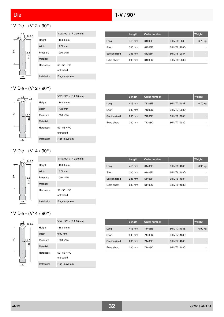# 1V Die - (V12 / 90°)



|                 | V12 x 90 $^{\circ}$ / (R 0.00 mm) |
|-----------------|-----------------------------------|
| Height          | 116.00 mm                         |
| Width           | 17.50 mm                          |
| Pressure        | 1000 kN/m                         |
| Material        |                                   |
| <b>Hardness</b> | 52 - 56 HRC                       |
|                 | untreated                         |
| Installation    | Plug-in system                    |

|               | Length | Order number |             | Weight  |
|---------------|--------|--------------|-------------|---------|
| Long          | 415 mm | 61208E       | 6H MT61208E | 6.70 kg |
| Short         | 300 mm | 61208D       | 6H MT61208D |         |
| Sectionalized | 235 mm | 61208F       | 6H MT61208F |         |
| Extra short   | 200 mm | 61208C       | 6H MT61208C | ۰       |

## 1V Die - (V12 / 90°)



|               | Length           | Order number |             | Weight  |
|---------------|------------------|--------------|-------------|---------|
| Long          | 415 mm           | 71208E       | 6H MT71208E | 6.70 kg |
| Short         | $300 \text{ mm}$ | 71208D       | 6H MT71208D |         |
| Sectionalized | 235 mm           | 71208F       | 6H MT71208F | -       |
| Extra short   | $200 \text{ mm}$ | 71208C       | 6H MT71208C | ۰       |

## 1V Die - (V14 / 90°)



|              | $V14 \times 90^{\circ}$ / (R 0.00 mm) |
|--------------|---------------------------------------|
| Height       | 116.00 mm                             |
| Width        | 18.50 mm                              |
| Pressure     | 1000 kN/m                             |
| Material     |                                       |
| Hardness     | 52 - 56 HRC<br>untreated              |
|              |                                       |
| Installation | Plug-in system                        |

|               | Length           | Order number |             | Weight    |
|---------------|------------------|--------------|-------------|-----------|
| Long          | 415 mm           | 61408E       | 6H MT61408E | $6.90$ kg |
| Short         | 300 mm           | 61408D       | 6H MT61408D |           |
| Sectionalized | 235 mm           | 61408F       | 6H MT61408F | -         |
| Extra short   | $200 \text{ mm}$ | 61408C       | 6H MT61408C |           |

## 1V Die - (V14 / 90°)



|                 | $V14 \times 90^{\circ}$ / (R 2.00 mm) |
|-----------------|---------------------------------------|
| Height          | 116.00 mm                             |
| Width           | $0.00$ mm                             |
| Pressure        | 1000 kN/m                             |
| Material        |                                       |
| <b>Hardness</b> | 52 - 56 HRC<br>untreated              |
| Installation    | Plug-in system                        |

|               | Length           | Order number |             | Weight    |
|---------------|------------------|--------------|-------------|-----------|
| Long          | 415 mm           | 71408E       | 6H MT71408E | $6.90$ kg |
| Short         | $300 \text{ mm}$ | 71408D       | 6H MT71408D | ۰         |
| Sectionalized | 235 mm           | 71408F       | 6H MT71408F | -         |
| Extra short   | 200 mm           | 71408C       | 6H MT71408C | ۰         |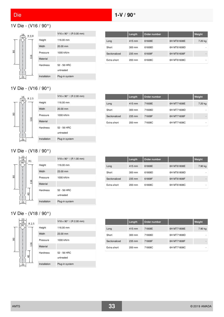# 1V Die - (V16 / 90°)



| 8. |                 | $V16 \times 90^{\circ}$ / (R 0.00 mm) |
|----|-----------------|---------------------------------------|
|    | Height          | 116.00 mm                             |
|    | Width           | 20.00 mm                              |
|    | Pressure        | 1000 kN/m                             |
|    | Material        |                                       |
|    | <b>Hardness</b> | 52 - 56 HRC                           |
|    |                 | untreated                             |
|    | Installation    | Plug-in system                        |

|               | Length           | Order number |             | Weight  |
|---------------|------------------|--------------|-------------|---------|
| Long          | 415 mm           | 61608E       | 6H MT61608E | 7.20 kg |
| Short         | $300 \text{ mm}$ | 61608D       | 6H MT61608D | ۰       |
| Sectionalized | 235 mm           | 61608F       | 6H MT61608F | -       |
| Extra short   | 200 mm           | 61608C       | 6H MT61608C | ۰       |

## 1V Die - (V16 / 90°)



|               | Length           | Order number |             | Weight  |
|---------------|------------------|--------------|-------------|---------|
| Long          | 415 mm           | 71608E       | 6H MT71608E | 7.20 kg |
| Short         | $300 \text{ mm}$ | 71608D       | 6H MT71608D | ۰       |
| Sectionalized | 235 mm           | 71608F       | 6H MT71608F | -       |
| Extra short   | $200 \text{ mm}$ | 71608C       | 6H MT71608C | ۰       |

## 1V Die - (V18 / 90°)



|                 | V18 x 90 $^{\circ}$ / (R 1.00 mm) |
|-----------------|-----------------------------------|
| Height          | 116.00 mm                         |
| Width           | 23.00 mm                          |
| Pressure        | 1000 kN/m                         |
| Material        |                                   |
| <b>Hardness</b> | 52 - 56 HRC                       |
|                 | untreated                         |
| Installation    | Plug-in system                    |

|               | Length           | Order number |             | Weight  |
|---------------|------------------|--------------|-------------|---------|
| Long          | 415 mm           | 61808E       | 6H MT61808E | 7.90 kg |
| Short         | $300 \text{ mm}$ | 61808D       | 6H MT61808D |         |
| Sectionalized | 235 mm           | 61808F       | 6H MT61808F | -       |
| Extra short   | $200 \text{ mm}$ | 61808C       | 6H MT61808C |         |

## 1V Die - (V18 / 90°)

|   | 18<br>R 2.5     |              | V18 x 90 $^{\circ}$ / (R 2.00 mm) |
|---|-----------------|--------------|-----------------------------------|
|   | $90^{\circ}$    | Height       | 116.00 mm                         |
|   |                 | Width        | 23.00 mm                          |
| 8 | 116             | Pressure     | 1000 kN/m                         |
|   |                 | Material     |                                   |
| ទ | <b>Hardness</b> | 52 - 56 HRC  |                                   |
|   |                 | untreated    |                                   |
|   |                 | Installation | Plug-in system                    |

|               | Length           | Order number |             | Weight  |
|---------------|------------------|--------------|-------------|---------|
| Long          | 415 mm           | 71808E       | 6H MT71808E | 7.90 kg |
| Short         | $300 \text{ mm}$ | 71808D       | 6H MT71808D | ۰       |
| Sectionalized | 235 mm           | 71808F       | 6H MT71808F | -       |
| Extra short   | $200 \text{ mm}$ | 71808C       | 6H MT71808C |         |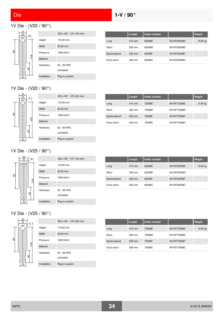# 1V Die - (V20 / 90°)



|                 | $V20 \times 90^{\circ}$ / (R 1.00 mm) |
|-----------------|---------------------------------------|
| Height          | 116.00 mm                             |
| Width           | 25.00 mm                              |
| Pressure        | 1000 kN/m                             |
| Material        |                                       |
| <b>Hardness</b> | 52 - 56 HRC                           |
|                 | untreated                             |
| Installation    | Plug-in system                        |

|               | Length           | Order number |             | Weight  |
|---------------|------------------|--------------|-------------|---------|
| Long          | 415 mm           | 62008E       | 6H MT62008E | 8.30 kg |
| Short         | $300 \text{ mm}$ | 62008D       | 6H MT62008D |         |
| Sectionalized | 235 mm           | 62008F       | 6H MT62008F | -       |
| Extra short   | $200 \text{ mm}$ | 62008C       | 6H MT62008C | ۰       |

## 1V Die - (V20 / 90°)



|                 | $V20 \times 90^{\circ}$ / (R 3.00 mm) |
|-----------------|---------------------------------------|
| Height          | 116.00 mm                             |
| Width           | 25.00 mm                              |
| Pressure        | 1000 kN/m                             |
| Material        |                                       |
| <b>Hardness</b> | 52 - 56 HRC                           |
|                 | untreated                             |
| Installation    | Plug-in system                        |

|               | Length           | Order number |             | Weight  |
|---------------|------------------|--------------|-------------|---------|
| Long          | 415 mm           | 72008E       | 6H MT72008E | 8.30 kg |
| Short         | $300 \text{ mm}$ | 72008D       | 6H MT72008D |         |
| Sectionalized | 235 mm           | 72008F       | 6H MT72008F | -       |
| Extra short   | $200 \text{ mm}$ | 72008C       | 6H MT72008C | ۰       |

## 1V Die - (V25 / 90°)



|               | Length           | Order number |             | Weight    |
|---------------|------------------|--------------|-------------|-----------|
| Long          | 415 mm           | 62508E       | 6H MT62508E | $9.40$ kg |
| Short         | $300 \text{ mm}$ | 62508D       | 6H MT62508D |           |
| Sectionalized | 235 mm           | 62508F       | 6H MT62508F | -         |
| Extra short   | $200 \text{ mm}$ | 62508C       | 6H MT62508C |           |

# 1V Die - (V25 / 90°)



|                 | $V25 \times 90^{\circ}$ / (R 3.00 mm) |
|-----------------|---------------------------------------|
| Height          | 116.00 mm                             |
| Width           | 30.00 mm                              |
| Pressure        | 1000 kN/m                             |
| Material        |                                       |
| <b>Hardness</b> | 52 - 56 HRC                           |
|                 | untreated                             |
| Installation    | Plug-in system                        |

|               | Length           | Order number |             | <b>Weight</b> |
|---------------|------------------|--------------|-------------|---------------|
| Long          | 415 mm           | 72508E       | 6H MT72508E | $9.40$ kg     |
| Short         | $300 \text{ mm}$ | 72508D       | 6H MT72508D | ۰             |
| Sectionalized | 235 mm           | 72508F       | 6H MT72508F | -             |
| Extra short   | $200 \text{ mm}$ | 72508C       | 6H MT72508C | ۰             |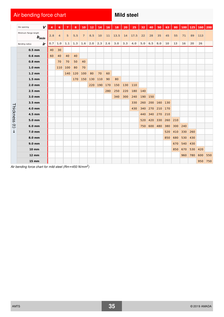# Air bending force chart **Mild steel** Mild steel

|                        | V<br>Die opening                   |     | 6              |     | 8   | 10             | 12  | 14  | 16  | 18   | 20  | 25   | 32  | 40        | 50  | 63    | 80  | 100 | 125 | 160 | 200 |
|------------------------|------------------------------------|-----|----------------|-----|-----|----------------|-----|-----|-----|------|-----|------|-----|-----------|-----|-------|-----|-----|-----|-----|-----|
|                        | Minimum flange length<br>$b_{min}$ | 2.8 | $\overline{4}$ | 5   | 5.5 | $\overline{7}$ | 8.5 | 10  | 11  | 13.5 | 14  | 17.5 | 22  | 28        | 35  | 45    | 55  | 71  | 89  | 113 |     |
|                        | ir<br>Bending radius               | 0.7 | 1.0            | 1.1 | 1.3 | 1.6            | 2.0 | 2.3 | 2.6 | 3.0  | 3.3 | 4.0  | 5.0 | 6.5       | 8.0 | 10    | 13  | 16  | 20  | 26  |     |
|                        | $0.5$ mm                           | 40  | 30             |     |     |                |     |     |     |      |     |      |     |           |     |       |     |     |     |     |     |
|                        | $0.6$ mm                           | 60  | 40             | 40  | 40  |                |     |     |     |      |     |      |     |           |     |       |     |     |     |     |     |
|                        | $0.8$ mm                           |     | 70             | 70  | 50  | 40             |     |     |     |      |     |      |     |           |     |       |     |     |     |     |     |
|                        | 1.0 <sub>mm</sub>                  |     | 110            | 100 | 80  | 70             |     |     |     |      |     |      |     |           |     |       |     |     |     |     |     |
|                        | $1.2 \text{ mm}$                   |     |                | 140 | 120 | 100            | 80  | 70  | 60  |      |     |      |     |           |     |       |     |     |     |     |     |
|                        | $1.5 \text{ mm}$                   |     |                |     | 170 | 150            | 130 | 110 | 90  | 80   |     |      |     |           |     |       |     |     |     |     |     |
|                        | $2.0$ mm                           |     |                |     |     |                | 220 | 190 | 170 | 150  | 130 | 110  |     |           |     |       |     |     |     |     |     |
|                        | $2.5$ mm                           |     |                |     |     |                |     |     | 280 | 250  | 220 | 180  | 140 |           |     |       |     |     |     |     |     |
|                        | 3.0 mm                             |     |                |     |     |                |     |     |     | 340  | 300 | 240  | 190 | 150       |     |       |     |     |     |     |     |
|                        | 3.5 mm                             |     |                |     |     |                |     |     |     |      |     | 330  | 260 | 200   160 |     | $130$ |     |     |     |     |     |
| Thickness              | 4.0 mm                             |     |                |     |     |                |     |     |     |      |     | 430  | 340 | 270       |     | 170   |     |     |     |     |     |
|                        | 4.5 mm                             |     |                |     |     |                |     |     |     |      |     |      | 440 | 340       | 270 | 210   |     |     |     |     |     |
|                        | 5.0 mm                             |     |                |     |     |                |     |     |     |      |     |      | 520 | 420       | 330 | 260   | 210 |     |     |     |     |
| $\widehat{\mathbf{t}}$ | 6.0 mm                             |     |                |     |     |                |     |     |     |      |     |      | 750 | 600 480   |     | 380   | 300 | 240 |     |     |     |
| ↓                      | 7.0 mm                             |     |                |     |     |                |     |     |     |      |     |      |     |           |     | 520   | 410 | 330 | 260 |     |     |
|                        | 8.0 mm                             |     |                |     |     |                |     |     |     |      |     |      |     |           |     | 850   | 680 | 530 | 430 |     |     |
|                        | 9.0 mm                             |     |                |     |     |                |     |     |     |      |     |      |     |           |     |       | 670 | 540 | 430 |     |     |
|                        | $10 \text{ mm}$                    |     |                |     |     |                |     |     |     |      |     |      |     |           |     |       | 850 | 670 | 530 | 420 |     |
|                        | <b>12 mm</b>                       |     |                |     |     |                |     |     |     |      |     |      |     |           |     |       |     | 960 | 780 | 600 | 550 |
|                        | <b>15 mm</b>                       |     |                |     |     |                |     |     |     |      |     |      |     |           |     |       |     |     |     | 950 |     |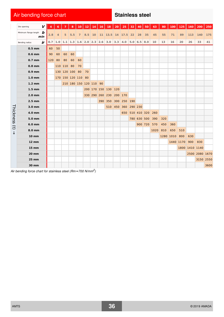# Air bending force chart **Stainless steel**

<span id="page-35-1"></span><span id="page-35-0"></span>

|                        | V<br>Die opening                                                                  |     | 6              |                    | 8                   | 10             | 12  | 14 | 16 | <b>18</b>                                           | 20 | 25                | 32 | 40          | 50              | 63   | 80  | 100           | 125           | 160            | 200            | 250  |
|------------------------|-----------------------------------------------------------------------------------|-----|----------------|--------------------|---------------------|----------------|-----|----|----|-----------------------------------------------------|----|-------------------|----|-------------|-----------------|------|-----|---------------|---------------|----------------|----------------|------|
|                        | Minimum flange length $\bigtriangledown$<br>min                                   | 2.8 | $\overline{4}$ | 5                  | 5.5                 | $\overline{7}$ | 8.5 | 10 |    | $11 \mid 13.5 \mid 14 \mid 17.5 \mid 22$            |    |                   |    | 28          | 35              | 45   | 55  | 71            | 89            | 113            | 140            | 175  |
|                        | ir<br>Bending radius                                                              | 0.7 |                |                    |                     |                |     |    |    | 1.0   1.1   1.3   1.6   2.0   2.3   2.6   3.0   3.3 |    | 4.0 $5.0$ 6.5 8.0 |    |             |                 | 10   | 13  | 16            | 20            | 26             | 33             | 41   |
|                        | $0.5$ mm                                                                          | 60  | 50             |                    |                     |                |     |    |    |                                                     |    |                   |    |             |                 |      |     |               |               |                |                |      |
|                        | $0.6$ mm                                                                          | 90  | 60             | 60                 | 60                  |                |     |    |    |                                                     |    |                   |    |             |                 |      |     |               |               |                |                |      |
|                        | $0.7$ mm                                                                          | 120 | 80             | 80                 | 60                  | 60             |     |    |    |                                                     |    |                   |    |             |                 |      |     |               |               |                |                |      |
|                        | $0.8$ mm                                                                          |     |                | 110 110 80         |                     | 70             |     |    |    |                                                     |    |                   |    |             |                 |      |     |               |               |                |                |      |
|                        | $0.9$ mm                                                                          |     |                | 130 120 100 80     |                     |                | 70  |    |    |                                                     |    |                   |    |             |                 |      |     |               |               |                |                |      |
|                        | 1.0 <sub>mm</sub>                                                                 |     |                | 170 150 120 110 80 |                     |                |     |    |    |                                                     |    |                   |    |             |                 |      |     |               |               |                |                |      |
|                        | $1.2 \text{ mm}$                                                                  |     |                |                    | 210 180 150 120 110 |                |     |    | 90 |                                                     |    |                   |    |             |                 |      |     |               |               |                |                |      |
|                        | $1.5 \text{ mm}$                                                                  |     |                |                    |                     |                |     |    |    | 200 170 150 130 120                                 |    |                   |    |             |                 |      |     |               |               |                |                |      |
|                        | $2.0$ mm                                                                          |     |                |                    |                     |                |     |    |    | 330 290 260 230 200 170                             |    |                   |    |             |                 |      |     |               |               |                |                |      |
|                        | $2.5$ mm                                                                          |     |                |                    |                     |                |     |    |    | 390 350 300 250 190                                 |    |                   |    |             |                 |      |     |               |               |                |                |      |
|                        | 3.0 mm                                                                            |     |                |                    |                     |                |     |    |    | 510 450                                             |    | 360 290 230       |    |             |                 |      |     |               |               |                |                |      |
| Thickness              | 4.0 mm                                                                            |     |                |                    |                     |                |     |    |    |                                                     |    | 650               |    |             | 510 410 320 260 |      |     |               |               |                |                |      |
|                        | 5.0 mm                                                                            |     |                |                    |                     |                |     |    |    |                                                     |    |                   |    | 780 630 500 |                 | 390  | 320 |               |               |                |                |      |
| $\widehat{\mathbf{d}}$ | 6.0 mm                                                                            |     |                |                    |                     |                |     |    |    |                                                     |    |                   |    |             | 900 720         | 570  | 450 | 360           |               |                |                |      |
| ↓                      | 8.0 mm                                                                            |     |                |                    |                     |                |     |    |    |                                                     |    |                   |    |             |                 | 1020 | 810 | 650           | 510           |                |                |      |
|                        | <b>10 mm</b>                                                                      |     |                |                    |                     |                |     |    |    |                                                     |    |                   |    |             |                 |      |     | 1280 1010 800 |               | 630            |                |      |
|                        | <b>12 mm</b>                                                                      |     |                |                    |                     |                |     |    |    |                                                     |    |                   |    |             |                 |      |     |               | 1440 1170 900 |                | 830            |      |
|                        | $15 \, \text{mm}$                                                                 |     |                |                    |                     |                |     |    |    |                                                     |    |                   |    |             |                 |      |     |               |               | 1800 1410 1140 |                |      |
|                        | <b>20 mm</b>                                                                      |     |                |                    |                     |                |     |    |    |                                                     |    |                   |    |             |                 |      |     |               |               |                | 2500 2080 1670 |      |
|                        | <b>25 mm</b>                                                                      |     |                |                    |                     |                |     |    |    |                                                     |    |                   |    |             |                 |      |     |               |               |                | 3150 2550      |      |
|                        | 30 mm                                                                             |     |                |                    |                     |                |     |    |    |                                                     |    |                   |    |             |                 |      |     |               |               |                |                | 3600 |
|                        | Air bending force chart for stainless steel (Rm $\approx$ 700 N/mm <sup>2</sup> ) |     |                |                    |                     |                |     |    |    |                                                     |    |                   |    |             |                 |      |     |               |               |                |                |      |